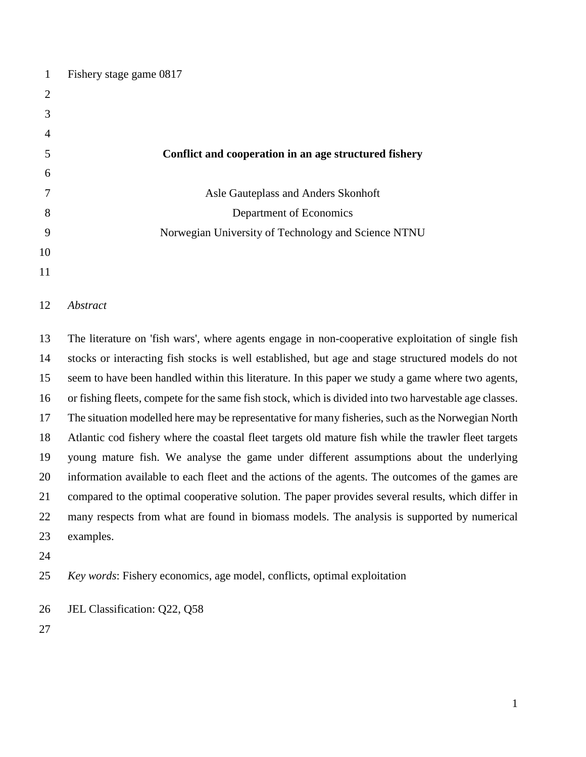| 1  | Fishery stage game 0817                               |  |  |  |
|----|-------------------------------------------------------|--|--|--|
| 2  |                                                       |  |  |  |
| 3  |                                                       |  |  |  |
| 4  |                                                       |  |  |  |
| 5  | Conflict and cooperation in an age structured fishery |  |  |  |
| 6  |                                                       |  |  |  |
|    | Asle Gauteplass and Anders Skonhoft                   |  |  |  |
| 8  | Department of Economics                               |  |  |  |
| 9  | Norwegian University of Technology and Science NTNU   |  |  |  |
| 10 |                                                       |  |  |  |
| 11 |                                                       |  |  |  |
|    |                                                       |  |  |  |

*Abstract*

 The literature on 'fish wars', where agents engage in non-cooperative exploitation of single fish stocks or interacting fish stocks is well established, but age and stage structured models do not seem to have been handled within this literature. In this paper we study a game where two agents, or fishing fleets, compete for the same fish stock, which is divided into two harvestable age classes. The situation modelled here may be representative for many fisheries, such as the Norwegian North Atlantic cod fishery where the coastal fleet targets old mature fish while the trawler fleet targets young mature fish. We analyse the game under different assumptions about the underlying information available to each fleet and the actions of the agents. The outcomes of the games are compared to the optimal cooperative solution. The paper provides several results, which differ in many respects from what are found in biomass models. The analysis is supported by numerical examples.

*Key words*: Fishery economics, age model, conflicts, optimal exploitation

JEL Classification: Q22, Q58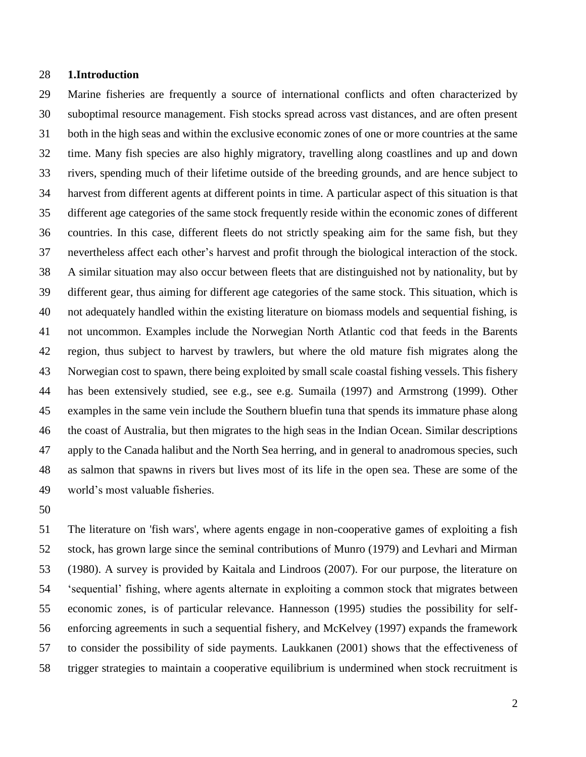## **1.Introduction**

 Marine fisheries are frequently a source of international conflicts and often characterized by suboptimal resource management. Fish stocks spread across vast distances, and are often present both in the high seas and within the exclusive economic zones of one or more countries at the same time. Many fish species are also highly migratory, travelling along coastlines and up and down rivers, spending much of their lifetime outside of the breeding grounds, and are hence subject to harvest from different agents at different points in time. A particular aspect of this situation is that different age categories of the same stock frequently reside within the economic zones of different countries. In this case, different fleets do not strictly speaking aim for the same fish, but they nevertheless affect each other's harvest and profit through the biological interaction of the stock. A similar situation may also occur between fleets that are distinguished not by nationality, but by different gear, thus aiming for different age categories of the same stock. This situation, which is not adequately handled within the existing literature on biomass models and sequential fishing, is not uncommon. Examples include the Norwegian North Atlantic cod that feeds in the Barents region, thus subject to harvest by trawlers, but where the old mature fish migrates along the Norwegian cost to spawn, there being exploited by small scale coastal fishing vessels. This fishery has been extensively studied, see e.g., see e.g. Sumaila (1997) and Armstrong (1999). Other examples in the same vein include the Southern bluefin tuna that spends its immature phase along the coast of Australia, but then migrates to the high seas in the Indian Ocean. Similar descriptions apply to the Canada halibut and the North Sea herring, and in general to anadromous species, such as salmon that spawns in rivers but lives most of its life in the open sea. These are some of the world's most valuable fisheries.

 The literature on 'fish wars', where agents engage in non-cooperative games of exploiting a fish stock, has grown large since the seminal contributions of Munro (1979) and Levhari and Mirman (1980). A survey is provided by Kaitala and Lindroos (2007). For our purpose, the literature on 'sequential' fishing, where agents alternate in exploiting a common stock that migrates between economic zones, is of particular relevance. Hannesson (1995) studies the possibility for self- enforcing agreements in such a sequential fishery, and McKelvey (1997) expands the framework to consider the possibility of side payments. Laukkanen (2001) shows that the effectiveness of trigger strategies to maintain a cooperative equilibrium is undermined when stock recruitment is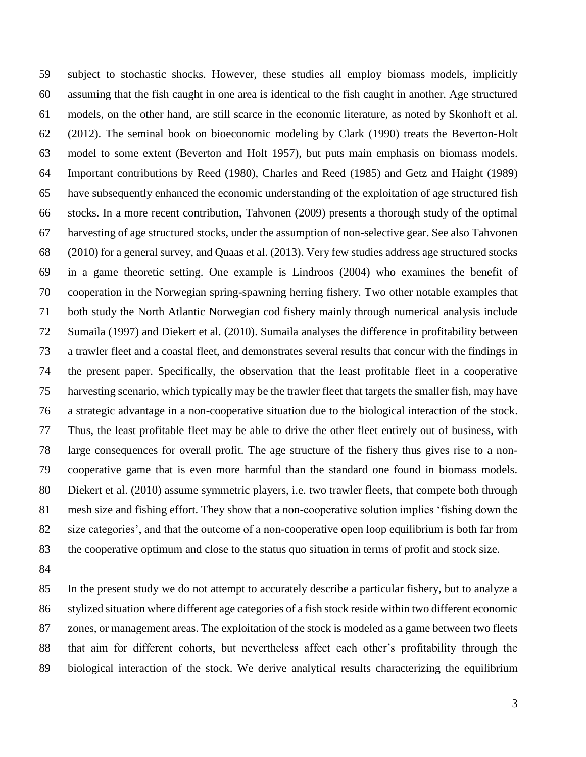subject to stochastic shocks. However, these studies all employ biomass models, implicitly assuming that the fish caught in one area is identical to the fish caught in another. Age structured models, on the other hand, are still scarce in the economic literature, as noted by Skonhoft et al. (2012). The seminal book on bioeconomic modeling by Clark (1990) treats the Beverton-Holt model to some extent (Beverton and Holt 1957), but puts main emphasis on biomass models. Important contributions by Reed (1980), Charles and Reed (1985) and Getz and Haight (1989) have subsequently enhanced the economic understanding of the exploitation of age structured fish stocks. In a more recent contribution, Tahvonen (2009) presents a thorough study of the optimal harvesting of age structured stocks, under the assumption of non-selective gear. See also Tahvonen (2010) for a general survey, and Quaas et al. (2013). Very few studies address age structured stocks in a game theoretic setting. One example is Lindroos (2004) who examines the benefit of cooperation in the Norwegian spring-spawning herring fishery. Two other notable examples that both study the North Atlantic Norwegian cod fishery mainly through numerical analysis include Sumaila (1997) and Diekert et al. (2010). Sumaila analyses the difference in profitability between a trawler fleet and a coastal fleet, and demonstrates several results that concur with the findings in the present paper. Specifically, the observation that the least profitable fleet in a cooperative harvesting scenario, which typically may be the trawler fleet that targets the smaller fish, may have a strategic advantage in a non-cooperative situation due to the biological interaction of the stock. Thus, the least profitable fleet may be able to drive the other fleet entirely out of business, with large consequences for overall profit. The age structure of the fishery thus gives rise to a non- cooperative game that is even more harmful than the standard one found in biomass models. Diekert et al. (2010) assume symmetric players, i.e. two trawler fleets, that compete both through mesh size and fishing effort. They show that a non-cooperative solution implies 'fishing down the size categories', and that the outcome of a non-cooperative open loop equilibrium is both far from the cooperative optimum and close to the status quo situation in terms of profit and stock size.

 In the present study we do not attempt to accurately describe a particular fishery, but to analyze a stylized situation where different age categories of a fish stock reside within two different economic zones, or management areas. The exploitation of the stock is modeled as a game between two fleets that aim for different cohorts, but nevertheless affect each other's profitability through the biological interaction of the stock. We derive analytical results characterizing the equilibrium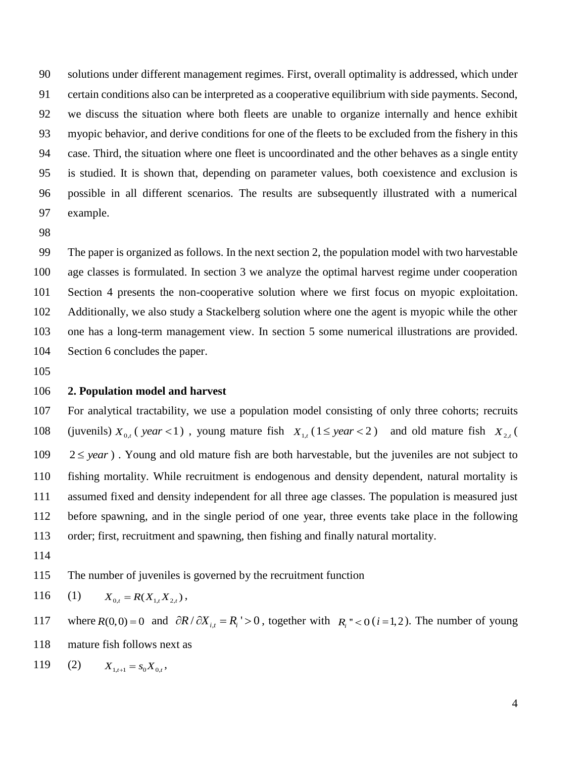solutions under different management regimes. First, overall optimality is addressed, which under certain conditions also can be interpreted as a cooperative equilibrium with side payments. Second, we discuss the situation where both fleets are unable to organize internally and hence exhibit myopic behavior, and derive conditions for one of the fleets to be excluded from the fishery in this case. Third, the situation where one fleet is uncoordinated and the other behaves as a single entity is studied. It is shown that, depending on parameter values, both coexistence and exclusion is possible in all different scenarios. The results are subsequently illustrated with a numerical example.

 The paper is organized as follows. In the next section 2, the population model with two harvestable age classes is formulated. In section 3 we analyze the optimal harvest regime under cooperation Section 4 presents the non-cooperative solution where we first focus on myopic exploitation. Additionally, we also study a Stackelberg solution where one the agent is myopic while the other one has a long-term management view. In section 5 some numerical illustrations are provided. Section 6 concludes the paper.

### **2. Population model and harvest**

 For analytical tractability, we use a population model consisting of only three cohorts; recruits 108 (juvenils)  $X_{0,t}$  (year <1), young mature fish  $X_{1,t}$  (1 \le year <2) and old mature fish  $X_{2,t}$  (  $2 \leq$  *year*). Young and old mature fish are both harvestable, but the juveniles are not subject to fishing mortality. While recruitment is endogenous and density dependent, natural mortality is assumed fixed and density independent for all three age classes. The population is measured just before spawning, and in the single period of one year, three events take place in the following order; first, recruitment and spawning, then fishing and finally natural mortality.

- 
- The number of juveniles is governed by the recruitment function

116 (1) 
$$
X_{0,t} = R(X_{1,t}X_{2,t}),
$$

where  $R(0,0) = 0$  and  $\partial R / \partial X_{i,t} = R_i > 0$ , together with  $R_i$ <sup>n</sup> < 0 (*i* = 1,2). The number of young 

mature fish follows next as

119 (2) 
$$
X_{1,t+1} = s_0 X_{0,t}
$$
,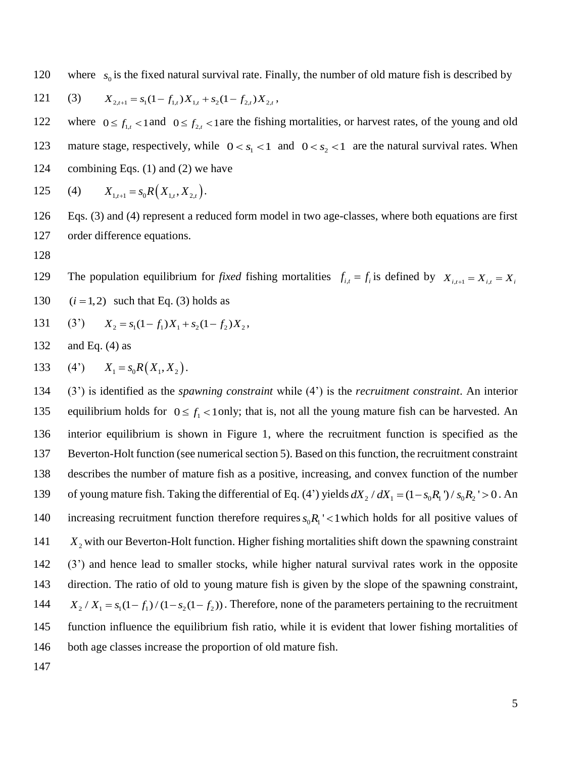where  $s_0$  is the fixed natural survival rate. Finally, the number of old mature fish is described by 120

121 (3) 
$$
X_{2,t+1} = s_1(1 - f_{1,t})X_{1,t} + s_2(1 - f_{2,t})X_{2,t}
$$

where  $0 \le f_{1,t} < 1$  and  $0 \le f_{2,t} < 1$  are the fishing mortalities, or harvest rates, of the young and old 122 mature stage, respectively, while  $0 < s_1 < 1$  and  $0 < s_2 < 1$  are the natural survival rates. When 123 124 combining Eqs. (1) and (2) we have

125 (4) 
$$
X_{1,t+1} = s_0 R(X_{1,t}, X_{2,t}).
$$

126 Eqs. (3) and (4) represent a reduced form model in two age-classes, where both equations are first 127 order difference equations.

128

129 The population equilibrium for *fixed* fishing mortalities  $f_{i,t} = f_i$  is defined by  $X_{i,t+1} = X_{i,t} = X_i$ 130  $(i = 1,2)$  such that Eq. (3) holds as

131 (3') 
$$
X_2 = s_1(1-f_1)X_1 + s_2(1-f_2)X_2
$$
,

132 and Eq.  $(4)$  as

133 (4') 
$$
X_1 = s_0 R(X_1, X_2)
$$
.

134 (3') is identified as the *spawning constraint* while (4') is the *recruitment constraint*. An interior equilibrium holds for  $0 \le f_1 < 1$  only; that is, not all the young mature fish can be harvested. An 135 136 interior equilibrium is shown in Figure 1, where the recruitment function is specified as the 137 Beverton-Holt function (see numerical section 5). Based on this function, the recruitment constraint 138 describes the number of mature fish as a positive, increasing, and convex function of the number of young mature fish. Taking the differential of Eq. (4') yields  $dX_2/dX_1 = (1 - s_0 R_1^{\prime})/s_0 R_2^{\prime} > 0$ . An 139 increasing recruitment function therefore requires  $s_0 R_1$ ' < 1 which holds for all positive values of 140 141 *X*2 with our Beverton-Holt function. Higher fishing mortalities shift down the spawning constraint 142 (3') and hence lead to smaller stocks, while higher natural survival rates work in the opposite 143 direction. The ratio of old to young mature fish is given by the slope of the spawning constraint,  $X_2 / X_1 = s_1(1 - f_1)/(1 - s_2(1 - f_2))$ . Therefore, none of the parameters pertaining to the recruitment 144 145 function influence the equilibrium fish ratio, while it is evident that lower fishing mortalities of 146 both age classes increase the proportion of old mature fish.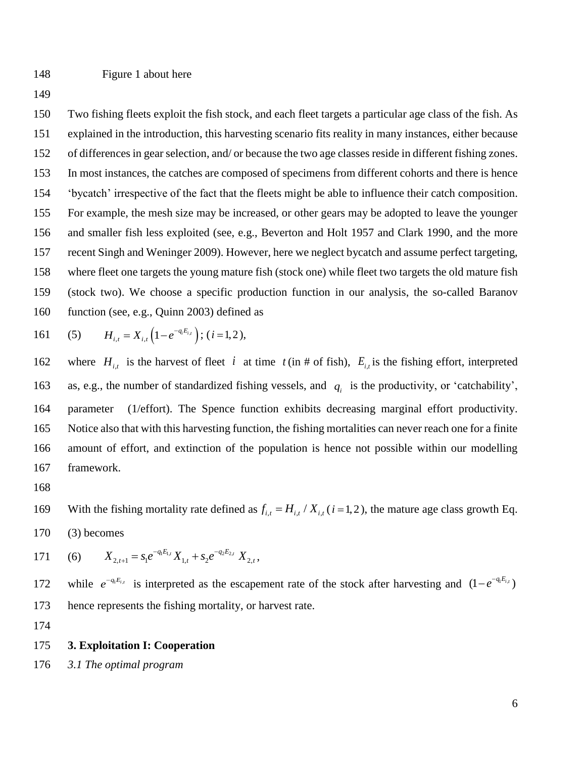Two fishing fleets exploit the fish stock, and each fleet targets a particular age class of the fish. As explained in the introduction, this harvesting scenario fits reality in many instances, either because of differencesin gear selection, and/ or because the two age classes reside in different fishing zones. In most instances, the catches are composed of specimens from different cohorts and there is hence 'bycatch' irrespective of the fact that the fleets might be able to influence their catch composition. For example, the mesh size may be increased, or other gears may be adopted to leave the younger and smaller fish less exploited (see, e.g., Beverton and Holt 1957 and Clark 1990, and the more recent Singh and Weninger 2009). However, here we neglect bycatch and assume perfect targeting, where fleet one targets the young mature fish (stock one) while fleet two targets the old mature fish (stock two). We choose a specific production function in our analysis, the so-called Baranov function (see, e.g., Quinn 2003) defined as

161 (5) 
$$
H_{i,t} = X_{i,t} \left( 1 - e^{-q_i E_{i,t}} \right); (i = 1, 2),
$$

162 where  $H_{i,t}$  is the harvest of fleet *i* at time  $t$  (in # of fish),  $E_{i,t}$  is the fishing effort, interpreted 163 as, e.g., the number of standardized fishing vessels, and  $q_i$  is the productivity, or 'catchability', parameter (1/effort). The Spence function exhibits decreasing marginal effort productivity. Notice also that with this harvesting function, the fishing mortalities can never reach one for a finite amount of effort, and extinction of the population is hence not possible within our modelling framework.

With the fishing mortality rate defined as  $f_{i,t} = H_{i,t} / X_{i,t}$  (*i* = 1, 2), the mature age class growth Eq. 

- (3) becomes
- (6)  $X_{2,t+1} = s_1 e^{-q_1 E_{1,t}} X_{1,t} + s_2 e^{-q_2 E_{2,t}} X_{2,t}$

172 while  $e^{-q_1 E_{i,t}}$  is interpreted as the escapement rate of the stock after harvesting and  $(1 - e^{-q_1 E_{i,t}})$ hence represents the fishing mortality, or harvest rate.

#### **3. Exploitation I: Cooperation**

*3.1 The optimal program*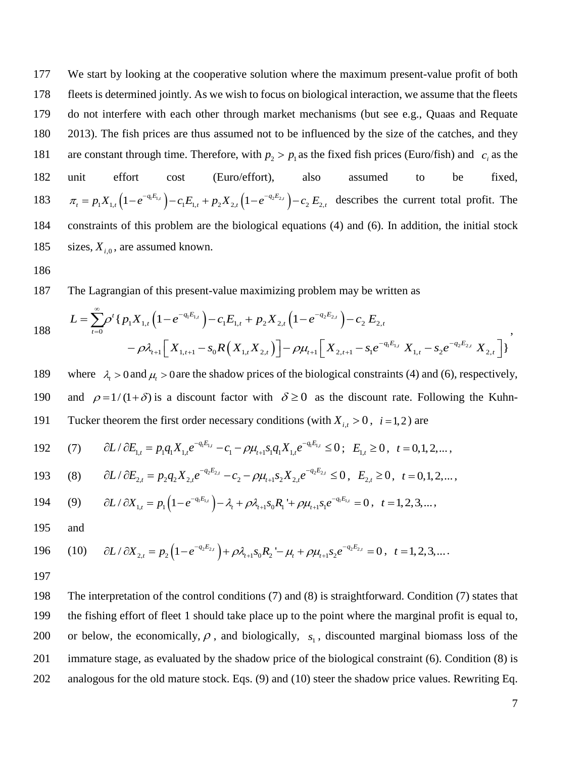177 We start by looking at the cooperative solution where the maximum present-value profit of both 178 fleets is determined jointly. As we wish to focus on biological interaction, we assume that the fleets 179 do not interfere with each other through market mechanisms (but see e.g., Quaas and Requate 180 2013). The fish prices are thus assumed not to be influenced by the size of the catches, and they are constant through time. Therefore, with  $p_2 > p_1$  as the fixed fish prices (Euro/fish) and  $c_i$  as the 181 182 unit effort cost (Euro/effort), also assumed to be fixed,  $(1-e^{-q_1E_{1,t}})-c_1E_{1,t}+p_2X_{2,t}(1-e^{-q_2E_{2,t}}).$ unit effort cost (Euro/effort), also assumed to be fixed,<br>  $\pi_t = p_1 X_{1,t} \left(1 - e^{-q_1 E_{1,t}}\right) - c_1 E_{1,t} + p_2 X_{2,t} \left(1 - e^{-q_2 E_{2,t}}\right) - c_2 E_{2,t}$  describes the current total profit. The 183 184 constraints of this problem are the biological equations (4) and (6). In addition, the initial stock 185 sizes,  $X_{i,0}$ , are assumed known.

186

187 The Lagrangian of this present-value maximizing problem may be written as

186  
\nThe Lagrangian of this present-value maximizing problem may be written as  
\n
$$
L = \sum_{t=0}^{\infty} \rho^{t} \{p_{1}X_{1,t} \left(1 - e^{-q_{1}E_{1,t}}\right) - c_{1}E_{1,t} + p_{2}X_{2,t} \left(1 - e^{-q_{2}E_{2,t}}\right) - c_{2}E_{2,t} - \rho \lambda_{t+1} \left[X_{1,t+1} - s_{0}R\left(X_{1,t}X_{2,t}\right)\right] - \rho \mu_{t+1} \left[X_{2,t+1} - s_{1}e^{-q_{1}E_{1,t}} X_{1,t} - s_{2}e^{-q_{2}E_{2,t}} X_{2,t}\right]\}
$$

where  $\lambda_t > 0$  and  $\mu_t > 0$  are the shadow prices of the biological constraints (4) and (6), respectively, 189 190 and  $\rho = 1/(1+\delta)$  is a discount factor with  $\delta \ge 0$  as the discount rate. Following the Kuhn-191

191 Tucker theorem the first order necessary conditions (with 
$$
X_{i,t} > 0
$$
,  $i = 1, 2$ ) are  
192 (7)  $\partial L / \partial E_{1,t} = p_1 q_1 X_{1,t} e^{-q_1 E_{1,t}} - c_1 - \rho \mu_{t+1} s_1 q_1 X_{1,t} e^{-q_1 E_{1,t}} \le 0$ ;  $E_{1,t} \ge 0$ ,  $t = 0, 1, 2, ...$ ,

192 (7) 
$$
\partial L / \partial E_{1,t} = p_1 q_1 X_{1,t} e^{-q_1 L_{1,t}} - c_1 - \rho \mu_{t+1} s_1 q_1 X_{1,t} e^{-q_1 L_{1,t}} \le 0; E_{1,t} \ge 0, t = 0, 1, 2, \dots,
$$
  
\n193 (8)  $\partial L / \partial E_{2,t} = p_2 q_2 X_{2,t} e^{-q_2 E_{2,t}} - c_2 - \rho \mu_{t+1} s_2 X_{2,t} e^{-q_2 E_{2,t}} \le 0, E_{2,t} \ge 0, t = 0, 1, 2, \dots,$   
\n194 (9)  $\partial L / \partial X_{1,t} = p_1 (1 - e^{-q_1 E_{1,t}}) - \lambda_t + \rho \lambda_{t+1} s_0 R_1 + \rho \mu_{t+1} s_1 e^{-q_1 E_{1,t}} = 0, t = 1, 2, 3, \dots,$ 

194 (9) 
$$
\partial L / \partial X_{1,t} = p_1 \left( 1 - e^{-q_1 E_{1,t}} \right) - \lambda_t + \rho \lambda_{t+1} s_0 R_1 + \rho \mu_{t+1} s_1 e^{-q_1 E_{1,t}} = 0, \quad t = 1, 2, 3, ...
$$

195 and

195 and  
\n196 (10) 
$$
\partial L / \partial X_{2,t} = p_2 \left( 1 - e^{-q_2 E_{2,t}} \right) + \rho \lambda_{t+1} s_0 R_2 - \mu_t + \rho \mu_{t+1} s_2 e^{-q_2 E_{2,t}} = 0, t = 1, 2, 3, ...
$$

197

 The interpretation of the control conditions (7) and (8) is straightforward. Condition (7) states that the fishing effort of fleet 1 should take place up to the point where the marginal profit is equal to, or below, the economically,  $\rho$ , and biologically,  $s_1$ , discounted marginal biomass loss of the 200 immature stage, as evaluated by the shadow price of the biological constraint (6). Condition (8) is analogous for the old mature stock. Eqs. (9) and (10) steer the shadow price values. Rewriting Eq.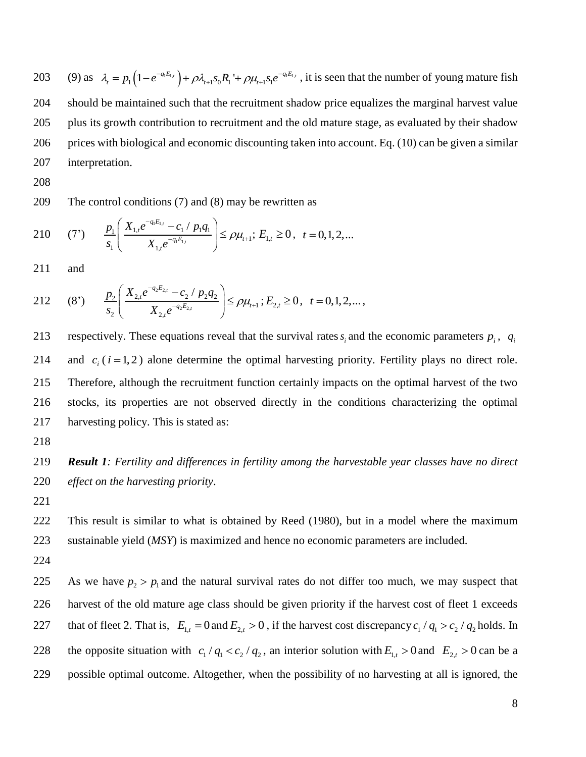(9) as  $\lambda_i = p_1 \left( 1 - e^{-q_1 E_{1,i}} \right) + \rho \lambda_{i+1} s_0 R_1 + \rho \mu_{i+1} s_1 e^{-q_1 E_{1,i}}$  $\mathcal{P}_t = p_1 \left( 1 - e^{-q_1 E_{1,t}} \right) + \rho \lambda_{t+1} s_0 R_1 + \rho \mu_{t+1} s_1 e^{-q_1 E_{1,t}}$ 203 (9) as  $\lambda_{i} = p_{1} \left( 1 - e^{-q_{1}E_{1,i}} \right) + \rho \lambda_{i+1} s_{0} R_{1} + \rho \mu_{i+1} s_{1} e^{-q_{1}E_{1,i}}$ , it is seen that the number of young mature fish 204 should be maintained such that the recruitment shadow price equalizes the marginal harvest value 205 plus its growth contribution to recruitment and the old mature stage, as evaluated by their shadow 206 prices with biological and economic discounting taken into account. Eq. (10) can be given a similar 207 interpretation.

208

209 The control conditions (7) and (8) may be rewritten as

210 (7') 
$$
\frac{p_1}{s_1} \left( \frac{X_{1,t} e^{-q_1 E_{1,t}} - c_1 / p_1 q_1}{X_{1,t} e^{-q_1 E_{1,t}}} \right) \le \rho \mu_{t+1}; E_{1,t} \ge 0, \quad t = 0, 1, 2, ...
$$

211 and

212 (8') 
$$
\frac{p_2}{s_2} \left( \frac{X_{2,t} e^{-q_2 E_{2,t}} - c_2 / p_2 q_2}{X_{2,t} e^{-q_2 E_{2,t}}} \right) \le \rho \mu_{t+1}; E_{2,t} \ge 0, \quad t = 0, 1, 2, \dots,
$$

respectively. These equations reveal that the survival rates  $s_i$  and the economic parameters  $p_i$ ,  $q_i$ 213 and  $c_i$  ( $i = 1, 2$ ) alone determine the optimal harvesting priority. Fertility plays no direct role. 214 215 Therefore, although the recruitment function certainly impacts on the optimal harvest of the two 216 stocks, its properties are not observed directly in the conditions characterizing the optimal 217 harvesting policy. This is stated as:

218

219 *Result 1: Fertility and differences in fertility among the harvestable year classes have no direct*  220 *effect on the harvesting priority*.

221

222 This result is similar to what is obtained by Reed (1980), but in a model where the maximum 223 sustainable yield (*MSY*) is maximized and hence no economic parameters are included.

224

As we have  $p_2 > p_1$  and the natural survival rates do not differ too much, we may suspect that 225 226 harvest of the old mature age class should be given priority if the harvest cost of fleet 1 exceeds that of fleet 2. That is,  $E_{1,t} = 0$  and  $E_{2,t} > 0$ , if the harvest cost discrepancy  $c_1 / q_1 > c_2 / q_2$  holds. In 227 the opposite situation with  $c_1 / q_1 < c_2 / q_2$ , an interior solution with  $E_{1,t} > 0$  and  $E_{2,t} > 0$  can be a 228 229 possible optimal outcome. Altogether, when the possibility of no harvesting at all is ignored, the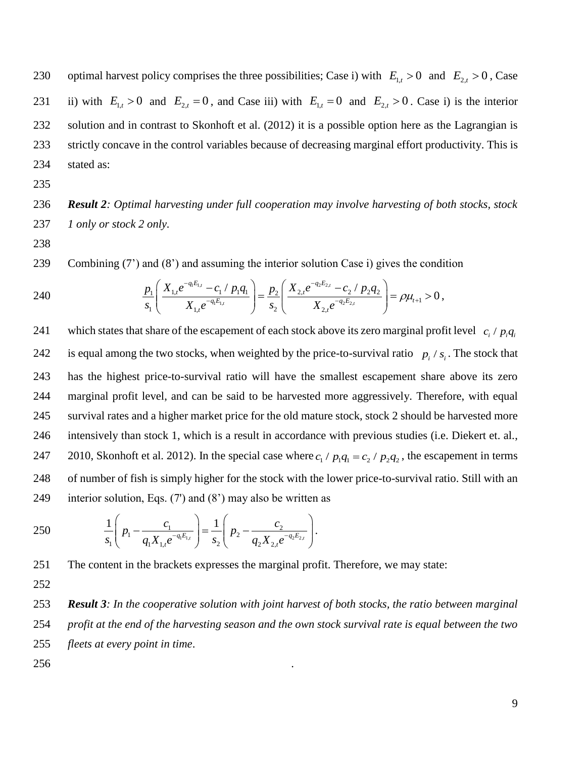optimal harvest policy comprises the three possibilities; Case i) with  $E_{1,t} > 0$  and  $E_{2,t} > 0$ , Case 230 ii) with  $E_{1,t} > 0$  and  $E_{2,t} = 0$ , and Case iii) with  $E_{1,t} = 0$  and  $E_{2,t} > 0$ . Case i) is the interior 231 232 solution and in contrast to Skonhoft et al. (2012) it is a possible option here as the Lagrangian is 233 strictly concave in the control variables because of decreasing marginal effort productivity. This is 234 stated as:

235

236 *Result 2: Optimal harvesting under full cooperation may involve harvesting of both stocks, stock*  237 *1 only or stock 2 only.*

238

239 Combining (7') and (8') and assuming the interior solution Case i) gives the condition

239 Combining (7') and (8') and assuming the interior solution Case i) gives the condition  
\n240 
$$
\frac{p_1}{s_1} \left( \frac{X_{1,t} e^{-q_1 E_{1,t}} - c_1 / p_1 q_1}{X_{1,t} e^{-q_1 E_{1,t}}} \right) = \frac{p_2}{s_2} \left( \frac{X_{2,t} e^{-q_2 E_{2,t}} - c_2 / p_2 q_2}{X_{2,t} e^{-q_2 E_{2,t}}} \right) = \rho \mu_{t+1} > 0,
$$

which states that share of the escapement of each stock above its zero marginal profit level  $c_i / p_i q_i$ 241 242 is equal among the two stocks, when weighted by the price-to-survival ratio  $p_i / s_i$ . The stock that 243 has the highest price-to-survival ratio will have the smallest escapement share above its zero 244 marginal profit level, and can be said to be harvested more aggressively. Therefore, with equal 245 survival rates and a higher market price for the old mature stock, stock 2 should be harvested more 246 intensively than stock 1, which is a result in accordance with previous studies (i.e. Diekert et. al., 2010, Skonhoft et al. 2012). In the special case where  $c_1 / p_1 q_1 = c_2 / p_2 q_2$ , the escapement in terms 247 248 of number of fish is simply higher for the stock with the lower price-to-survival ratio. Still with an

249 interior solution, Eqs. (7') and (8') may also be written as  
\n
$$
\frac{1}{s_1} \left( p_1 - \frac{c_1}{q_1 X_{1,t} e^{-q_1 E_{1,t}}} \right) = \frac{1}{s_2} \left( p_2 - \frac{c_2}{q_2 X_{2,t} e^{-q_2 E_{2,t}}} \right).
$$

252

253 *Result 3: In the cooperative solution with joint harvest of both stocks, the ratio between marginal*  254 *profit at the end of the harvesting season and the own stock survival rate is equal between the two*  255 *fleets at every point in time*.

 $256$  .

<sup>251</sup> The content in the brackets expresses the marginal profit. Therefore, we may state: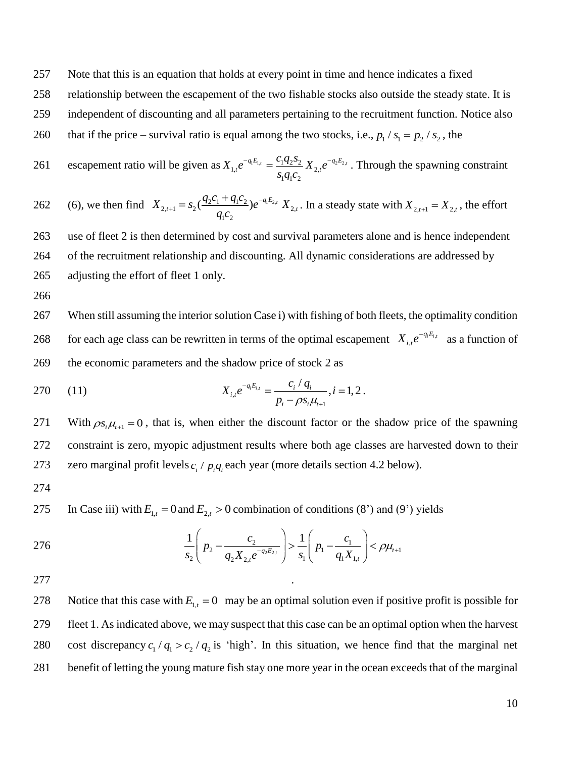- 257 Note that this is an equation that holds at every point in time and hence indicates a fixed
- 258 relationship between the escapement of the two fishable stocks also outside the steady state. It is
- 259 independent of discounting and all parameters pertaining to the recruitment function. Notice also
- that if the price survival ratio is equal among the two stocks, i.e.,  $p_1 / s_1 = p_2 / s_2$ , the 260

261 **escapement ratio** will be given as 
$$
X_{1,t}e^{-q_1E_{1,t}} = \frac{c_1q_2s_2}{s_1q_1c_2} X_{2,t}e^{-q_2E_{2,t}}
$$
. Through the spawning constraint

262 (6), we then find 
$$
X_{2,t+1} = s_2(\frac{q_2c_1 + q_1c_2}{q_1c_2})e^{-q_1E_{2,t}} X_{2,t}
$$
. In a steady state with  $X_{2,t+1} = X_{2,t}$ , the effort

263 use of fleet 2 is then determined by cost and survival parameters alone and is hence independent 264 of the recruitment relationship and discounting. All dynamic considerations are addressed by 265 adjusting the effort of fleet 1 only.

266

267 When still assuming the interior solution Case i) with fishing of both fleets, the optimality condition for each age class can be rewritten in terms of the optimal escapement  $X_{i,t}e^{-q_iE_i}$ .  $q_i E_{i,t}$ *i t* 268 for each age class can be rewritten in terms of the optimal escapement  $X_{i,\ell}e^{-q_i E_{i,\ell}}$  as a function of 269 the economic parameters and the shadow price of stock 2 as

270 (11) 
$$
X_{i,t}e^{-q_iE_{i,t}} = \frac{c_i/q_i}{p_i-\rho s_i\mu_{i+1}}, i=1,2.
$$

271 With  $\rho s_i \mu_{t+1} = 0$ , that is, when either the discount factor or the shadow price of the spawning 272 constraint is zero, myopic adjustment results where both age classes are harvested down to their zero marginal profit levels  $c_i / p_i q_i$  each year (more details section 4.2 below). 273

274

275

275 In Case iii) with 
$$
E_{1,t} = 0
$$
 and  $E_{2,t} > 0$  combination of conditions (8') and (9') yields  
\n
$$
\frac{1}{s_2} \left( p_2 - \frac{c_2}{q_2 X_{2,t} e^{-q_2 E_{2,t}}} \right) > \frac{1}{s_1} \left( p_1 - \frac{c_1}{q_1 X_{1,t}} \right) < \rho \mu_{t+1}
$$

277 .

Notice that this case with  $E_{1,t} = 0$  may be an optimal solution even if positive profit is possible for 278 279 fleet 1. As indicated above, we may suspect that this case can be an optimal option when the harvest cost discrepancy  $c_1$  /  $q_1 > c_2$  /  $q_2$  is 'high'. In this situation, we hence find that the marginal net 280 281 benefit of letting the young mature fish stay one more year in the ocean exceeds that of the marginal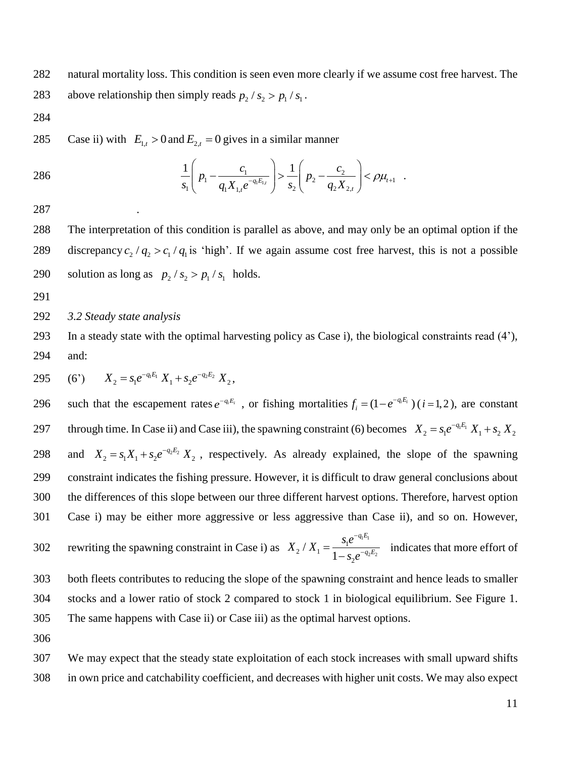282 natural mortality loss. This condition is seen even more clearly if we assume cost free harvest. The above relationship then simply reads  $p_2 / s_2 > p_1 / s_1$ . 283

284

Case ii) with  $E_{1,t} > 0$  and  $E_{2,t} = 0$  gives in a similar manner 285

286  
286  

$$
\frac{1}{s_1} \left( p_1 - \frac{c_1}{q_1 X_{1,t} e^{-q_1 E_{1,t}}} \right) > \frac{1}{s_2} \left( p_2 - \frac{c_2}{q_2 X_{2,t}} \right) < \rho \mu_{t+1}.
$$

287 .

288 The interpretation of this condition is parallel as above, and may only be an optimal option if the discrepancy  $c_2$  /  $q_2 > c_1$  /  $q_1$  is 'high'. If we again assume cost free harvest, this is not a possible 289 solution as long as  $p_2 / s_2 > p_1 / s_1$  holds. 290

291

### 292 *3.2 Steady state analysis*

293 In a steady state with the optimal harvesting policy as Case i), the biological constraints read (4'), 294 and:

 $(6')$  $X_2 = s_1 e^{-q_1 E_1} X_1 + s_2 e^{-q_2 E_2} X_2,$ 295

such that the escapement rates  $e^{-q_i E_i}$ , or fishing mortalities  $f_i = (1 - e^{-q_i E_i})$  $f_i = (1 - e^{-q_i E_i}) (i = 1, 2)$ , are constant 296 through time. In Case ii) and Case iii), the spawning constraint (6) becomes  $X_2 = s_1 e^{-q_1 E_1} X_1 + s_2 X_2$ 297 and  $X_2 = s_1 X_1 + s_2 e^{-q_2 E_2} X_2$ , respectively. As already explained, the slope of the spawning 298 299 constraint indicates the fishing pressure. However, it is difficult to draw general conclusions about 300 the differences of this slope between our three different harvest options. Therefore, harvest option 301 Case i) may be either more aggressive or less aggressive than Case ii), and so on. However, rewriting the spawning constraint in Case i) as  $X_2/X_1 = \frac{S_1 e^{-q_1}}{S_1}$ 1 2  $_2 / X_1 = \frac{3_1}{1}$ 2 / 1  $q_1E$  $X_2 / X_1 = \frac{s_1 e^{-q_1 E_1}}{1 - \frac{1}{2} e^{-q_2 E_1}}$  $\frac{1}{s_2}$ e  $\overline{a}$  $=\frac{b_1c}{1-a_2c}$  $\overline{a}$ 302 rewriting the spawning constraint in Case i) as  $X_2/X_1 = \frac{S_1}{1 - \frac{S_2}{1 - \frac{S_1}{1 - \frac{S_2}{1 - \cdots}}}}$  indicates that more effort of 303 both fleets contributes to reducing the slope of the spawning constraint and hence leads to smaller 304 stocks and a lower ratio of stock 2 compared to stock 1 in biological equilibrium. See Figure 1. 305 The same happens with Case ii) or Case iii) as the optimal harvest options.

306

307 We may expect that the steady state exploitation of each stock increases with small upward shifts 308 in own price and catchability coefficient, and decreases with higher unit costs. We may also expect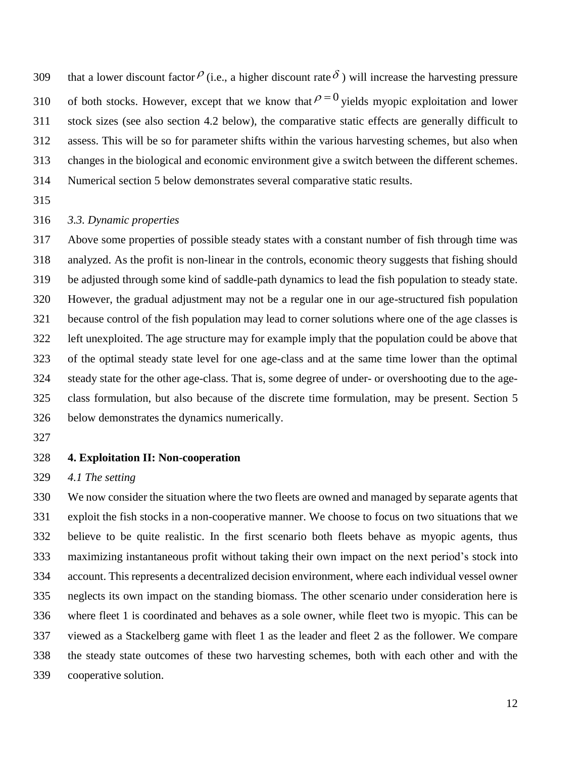309 that a lower discount factor  $\rho$  (i.e., a higher discount rate  $\delta$ ) will increase the harvesting pressure 310 of both stocks. However, except that we know that  $\rho = 0$  yields myopic exploitation and lower stock sizes (see also section 4.2 below), the comparative static effects are generally difficult to assess. This will be so for parameter shifts within the various harvesting schemes, but also when changes in the biological and economic environment give a switch between the different schemes. Numerical section 5 below demonstrates several comparative static results.

### *3.3. Dynamic properties*

 Above some properties of possible steady states with a constant number of fish through time was analyzed. As the profit is non-linear in the controls, economic theory suggests that fishing should be adjusted through some kind of saddle-path dynamics to lead the fish population to steady state. However, the gradual adjustment may not be a regular one in our age-structured fish population because control of the fish population may lead to corner solutions where one of the age classes is left unexploited. The age structure may for example imply that the population could be above that of the optimal steady state level for one age-class and at the same time lower than the optimal steady state for the other age-class. That is, some degree of under- or overshooting due to the age- class formulation, but also because of the discrete time formulation, may be present. Section 5 below demonstrates the dynamics numerically.

# **4. Exploitation II: Non-cooperation**

## *4.1 The setting*

 We now consider the situation where the two fleets are owned and managed by separate agents that exploit the fish stocks in a non-cooperative manner. We choose to focus on two situations that we believe to be quite realistic. In the first scenario both fleets behave as myopic agents, thus maximizing instantaneous profit without taking their own impact on the next period's stock into account. This represents a decentralized decision environment, where each individual vessel owner neglects its own impact on the standing biomass. The other scenario under consideration here is where fleet 1 is coordinated and behaves as a sole owner, while fleet two is myopic. This can be viewed as a Stackelberg game with fleet 1 as the leader and fleet 2 as the follower. We compare the steady state outcomes of these two harvesting schemes, both with each other and with the cooperative solution.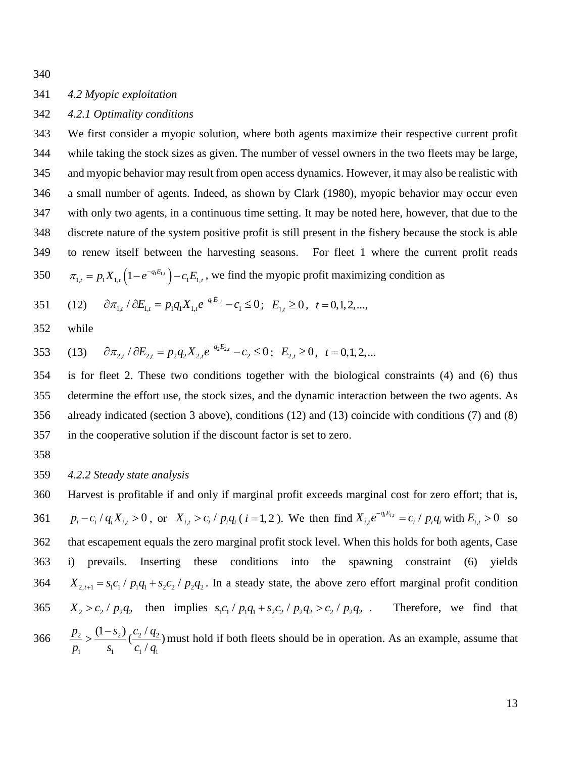### 341 *4.2 Myopic exploitation*

342 *4.2.1 Optimality conditions*

 We first consider a myopic solution, where both agents maximize their respective current profit while taking the stock sizes as given. The number of vessel owners in the two fleets may be large, and myopic behavior may result from open access dynamics. However, it may also be realistic with a small number of agents. Indeed, as shown by Clark (1980), myopic behavior may occur even with only two agents, in a continuous time setting. It may be noted here, however, that due to the discrete nature of the system positive profit is still present in the fishery because the stock is able to renew itself between the harvesting seasons. For fleet 1 where the current profit reads  $\pi_{1,t} = p_1 X_{1,t} \left(1 - e^{-q_1 E_{1,t}}\right) - c_1 E_{1,t}$ , we find the myopic profit maximizing condition as 350

351 (12) 
$$
\partial \pi_{1,t} / \partial E_{1,t} = p_1 q_1 X_{1,t} e^{-q_1 E_{1,t}} - c_1 \le 0; \ E_{1,t} \ge 0, \ t = 0, 1, 2, \ldots,
$$

352 while

353 (13) 
$$
\partial \pi_{2,t} / \partial E_{2,t} = p_2 q_2 X_{2,t} e^{-q_2 E_{2,t}} - c_2 \le 0
$$
;  $E_{2,t} \ge 0$ ,  $t = 0,1,2,...$ 

 is for fleet 2. These two conditions together with the biological constraints (4) and (6) thus determine the effort use, the stock sizes, and the dynamic interaction between the two agents. As already indicated (section 3 above), conditions (12) and (13) coincide with conditions (7) and (8) in the cooperative solution if the discount factor is set to zero.

358

#### 359 *4.2.2 Steady state analysis*

360 Harvest is profitable if and only if marginal profit exceeds marginal cost for zero effort; that is,  $p_i - c_i / q_i X_{i,t} > 0$ , or  $X_{i,t} > c_i / p_i q_i$  (*i* = 1, 2). We then find  $X_{i,t} e^{-q_i E_{i,t}} = c_i / q_i$  $i \,$ <sup>*i*</sup>  $P_i$  $q_i$  $X_{i,t} e^{-q_i E_{i,t}} = c_i / p_i q_i$  with  $E_{i,t} > 0$  so 361 362 that escapement equals the zero marginal profit stock level. When this holds for both agents, Case 363 i) prevails. Inserting these conditions into the spawning constraint (6) yields  $X_{2,t+1} = s_1 c_1 / p_1 q_1 + s_2 c_2 / p_2 q_2$ . In a steady state, the above zero effort marginal profit condition 364  $X_2 > c_2 / p_2 q_2$  then implies  $s_1 c_1 / p_1 q_1 + s_2 c_2 / p_2 q_2 > c_2 / p_2 q_2$ . Therefore, we find that 365  $\frac{2}{2}$   $\sqrt{(1-S_2)}$   $\frac{C_2}{q_2}$  $S_1$   $S_1$   $C_1$  /  $q_1$  $\frac{(1 - s_2)}{(c_2 / q_2)}$ /  $p_2$  (1-s<sub>2</sub>)  $c_2$  / q  $\frac{p_1}{p_1} > \frac{c_1}{q_1}$  $\approx \frac{(1-s_2)}{(s_2-s_1)^2}$  must hold if both fleets should be in operation. As an example, assume that 366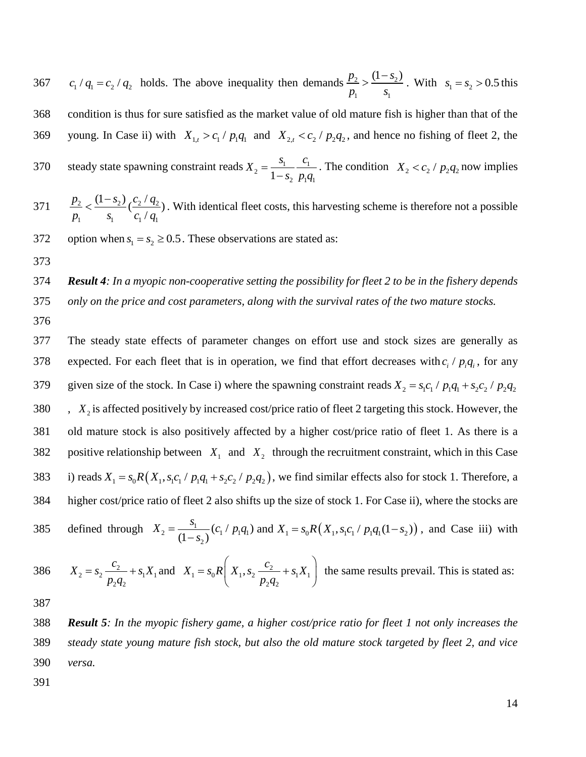$c_1$  /  $q_1 = c_2$  /  $q_2$  holds. The above inequality then demands  $\frac{p_2}{q_1} > \frac{(1 - 3p_2)}{q_2}$  $1 \qquad \qquad \mathbf{1}$  $p_2$  (1-s<sub>2</sub>)  $p_1$  s  $> \frac{(1-s_2)}{s_1}$ . With  $s_1 = s_2 > 0.5$  this 367 368 condition is thus for sure satisfied as the market value of old mature fish is higher than that of the young. In Case ii) with  $X_{1,t} > c_1 / p_1 q_1$  and  $X_{2,t} < c_2 / p_2 q_2$ , and hence no fishing of fleet 2, the 369 steady state spawning constraint reads 1 2 2  $P_1$ *4*<sub>1</sub> 1 <sup>c</sup>1 1  $X_2 = \frac{s_1}{s_2} - \frac{c_2}{s_1}$  $s_2$   $p_1q$  $=$  $\overline{a}$ . The condition  $X_2 < c_2 / p_2 q_2$  now implies 370  $\frac{2}{2}$   $\frac{(1 - S_2)}{2}$   $\frac{C_2}{q_2}$  $S_1$   $C_1$  /  $q_1$  $\frac{(1 - s_2)}{(c_2 / q_2)}$ /  $p_2$  (1-s<sub>2</sub>)  $c_2$  / q  $p_1$   $s_1$   $c_1/q$  $\lt \frac{(1-s_2)}{2}(\frac{c_2}{q_2})$ . With identical fleet costs, this harvesting scheme is therefore not a possible 371 option when  $s_1 = s_2 \geq 0.5$ . These observations are stated as: 372 373 374 *Result 4: In a myopic non-cooperative setting the possibility for fleet 2 to be in the fishery depends*  375 *only on the price and cost parameters, along with the survival rates of the two mature stocks.* 376 377 The steady state effects of parameter changes on effort use and stock sizes are generally as expected. For each fleet that is in operation, we find that effort decreases with  $c_i / p_i q_i$ , for any 378 given size of the stock. In Case i) where the spawning constraint reads  $X_2 = s_1 c_1 / p_1 q_1 + s_2 c_2 / p_2 q_2$ 379 380  $\ldots$ ,  $X_2$  is affected positively by increased cost/price ratio of fleet 2 targeting this stock. However, the 381 old mature stock is also positively affected by a higher cost/price ratio of fleet 1. As there is a 382 positive relationship between  $X_1$  and  $X_2$  through the recruitment constraint, which in this Case 383 i) reads  $X_1 = s_0 R(X_1, s_1 c_1 / p_1 q_1 + s_2 c_2 / p_2 q_2)$ , we find similar effects also for stock 1. Therefore, a 384 higher cost/price ratio of fleet 2 also shifts up the size of stock 1. For Case ii), where the stocks are defined through  $X_2 = \frac{s_1}{(1-\epsilon_2)} (c_1/p_1 q_1)$ 2  $(c_1 / p_1 q_1)$  $\frac{1}{(1 - s_2)}$  $X_2 = \frac{s_1}{a_2} (c_1 / p_1 q)$ *s*  $=$  $\overline{a}$ 385 defined through  $X_2 = \frac{s_1}{(1-s_1)} (c_1 / p_1 q_1)$  and  $X_1 = s_0 R (X_1, s_1 c_1 / p_1 q_1 (1 - s_2))$ , and Case iii) with  $2\frac{c_2}{a_1} + s_1 X_1$  $e^{2-\frac{b_2}{2}}p_2q_2$  $X_2 = s_2 \frac{c}{c}$ *p q*  $= s_2 \frac{c_2}{\sqrt{a_2^2 + s_1 X_1}} + s_1 X_1$  and  $X_1 = s_0 R \left[ X_1, s_2 \frac{c_2}{\sqrt{a_2^2 + s_1 X_1}} \right]$  $_{2}q_{2}$  $X_1 = s_0 R \left( X_1, s_2 \frac{c_2}{\sigma^2} + s_1 X \right)$  $\frac{c_2}{p_2 q}$  $\begin{pmatrix} 0 & c_1 & c_2 \end{pmatrix}$  $= s_0 R\left(X_1, s_2 \frac{c_2}{p_2 q_2} + s_1 X_1\right)$  the 386  $X_2 = s_2 \frac{c_2}{c_2} + s_1 X_1$  and  $X_1 = s_0 R |X_1, s_2 \frac{c_2}{c_2} + s_1 X_1|$  the same results prevail. This is stated as: 387 388 *Result 5: In the myopic fishery game, a higher cost/price ratio for fleet 1 not only increases the*  389 *steady state young mature fish stock, but also the old mature stock targeted by fleet 2, and vice*  390 *versa.*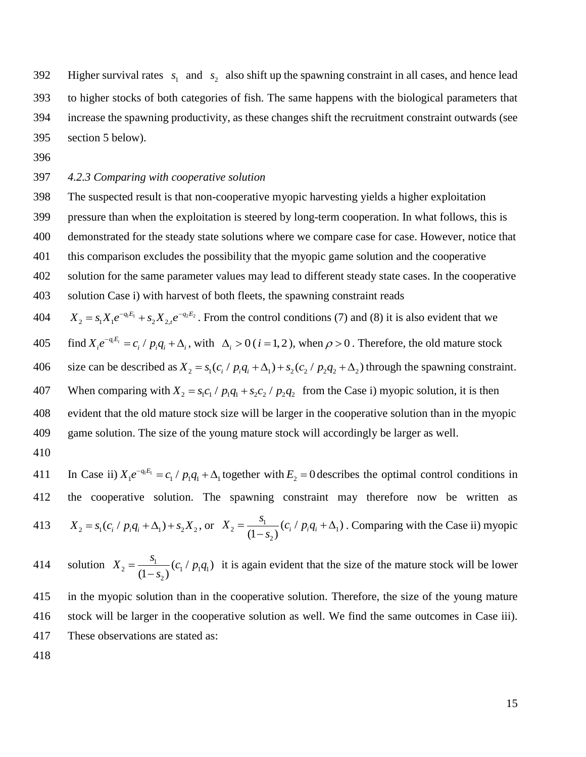Higher survival rates  $s_1$  and  $s_2$  also shift up the spawning constraint in all cases, and hence lead 392 393 to higher stocks of both categories of fish. The same happens with the biological parameters that 394 increase the spawning productivity, as these changes shift the recruitment constraint outwards (see 395 section 5 below).

396

#### 397 *4.2.3 Comparing with cooperative solution*

 The suspected result is that non-cooperative myopic harvesting yields a higher exploitation pressure than when the exploitation is steered by long-term cooperation. In what follows, this is demonstrated for the steady state solutions where we compare case for case. However, notice that this comparison excludes the possibility that the myopic game solution and the cooperative solution for the same parameter values may lead to different steady state cases. In the cooperative solution Case i) with harvest of both fleets, the spawning constraint reads

 $\mathbf{1}_2 = \mathbf{S}_1 \mathbf{X}_1 e^{-q_1 E_1} + \mathbf{S}_2 \mathbf{X}_{2,t} e^{-q_2 E_2}$  $X_2 = s_1 X_1 e^{-q_1 E_1} + s_2 X_{2,t} e^{-q_2 E_2}$ . From the control conditions (7) and (8) it is also evident that we 404 find  $X_i e^{-q_i E_i} = c_i / p_i q_i + \Delta_i$ , with  $\Delta_i > 0$  (*i* = 1, 2), when  $\rho > 0$ . Therefore, the old mature stock 405 shows that  $x_i e^{-x} = c_i / p_i q_i + \Delta_i$ , when  $\Delta_i > 0$  ( $i = 1, 2$ ), when  $p > 0$ . Therefore, the old matter stock<br>406 size can be described as  $X_2 = s_1 (c_i / p_i q_i + \Delta_1) + s_2 (c_2 / p_2 q_2 + \Delta_2)$  through the spawning constraint.

When comparing with  $X_2 = s_1 c_1 / p_1 q_1 + s_2 c_2 / p_2 q_2$  from the Case i) myopic solution, it is then 407 408 evident that the old mature stock size will be larger in the cooperative solution than in the myopic 409 game solution. The size of the young mature stock will accordingly be larger as well.

410

In Case ii)  $X_1 e^{-q_1 E_1} = c_1 / p_1 q_1 + \Delta_1$  together with  $E_2 = 0$  describes the optimal control conditions in 411 412 the cooperative solution. The spawning constraint may therefore now be written as  $X_2 = s_1(c_i / p_i q_i + \Delta_1) + s_2 X_2$ , or  $X_2 = \frac{s_1}{(1 - s_1)}(c_i / p_i q_i + \Delta_1)$  $(c_i / p_i q_i + \Delta_1)$  $\frac{q_1}{(1-s_2)}$   $(c_i / p_i q_i)$  $X_2 = \frac{s_1}{(1-s_2)} (c_i / p_i q_i + \Delta_1).$ 413  $X_2 = s_1(c_i/p_iq_i + \Delta_1) + s_2X_2$ , or  $X_2 = \frac{s_1}{z_1-\Delta_1}(c_i/p_iq_i + \Delta_1)$ . Comparing with the Case ii) myopic

2

solution  $X_2 = \frac{S_1}{(1 - S_1)^2} (c_1 / p_1 q_1)$ 2  $(c_1 / p_1 q_1)$  $\frac{1}{(1 - s_2)}$  $X_2 = \frac{s_1}{a_2} (c_1 / p_1 q)$ *s*  $=$  $\overline{a}$ 414 solution  $X_2 = \frac{q}{q} (c_1 / p_1 q_1)$  it is again evident that the size of the mature stock will be lower 415 in the myopic solution than in the cooperative solution. Therefore, the size of the young mature 416 stock will be larger in the cooperative solution as well. We find the same outcomes in Case iii). 417 These observations are stated as: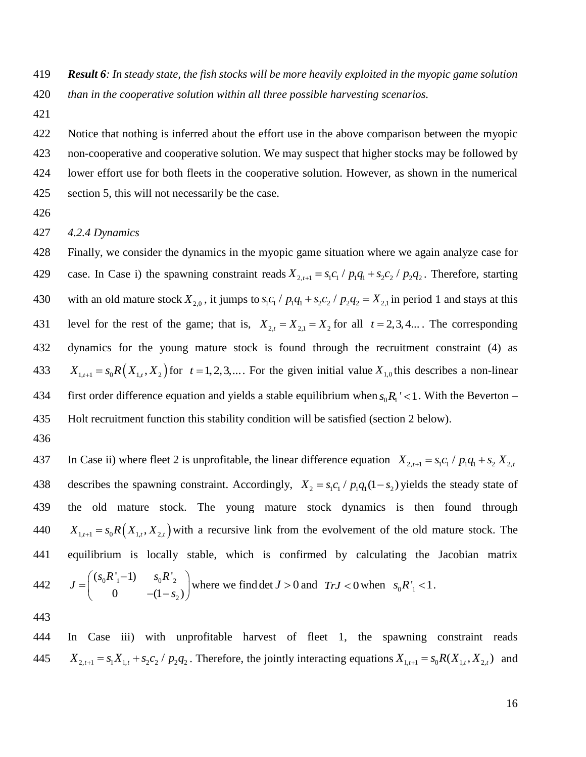*Result 6: In steady state, the fish stocks will be more heavily exploited in the myopic game solution than in the cooperative solution within all three possible harvesting scenarios.*

 Notice that nothing is inferred about the effort use in the above comparison between the myopic non-cooperative and cooperative solution. We may suspect that higher stocks may be followed by lower effort use for both fleets in the cooperative solution. However, as shown in the numerical section 5, this will not necessarily be the case.

#### *4.2.4 Dynamics*

 Finally, we consider the dynamics in the myopic game situation where we again analyze case for case. In Case i) the spawning constraint reads  $X_{2,t+1} = s_1 c_1 / p_1 q_1 + s_2 c_2 / p_2 q_2$ . Therefore, starting with an old mature stock  $X_{2,0}$ , it jumps to  $s_1c_1 / p_1q_1 + s_2c_2 / p_2q_2 = X_{2,1}$  in period 1 and stays at this 431 level for the rest of the game; that is,  $X_{2,t} = X_{2,t} = X_2$  for all  $t = 2, 3, 4,...$  The corresponding dynamics for the young mature stock is found through the recruitment constraint (4) as 433  $X_{1,t+1} = s_0 R(X_{1,t}, X_2)$  for  $t = 1, 2, 3, \dots$ . For the given initial value  $X_{1,0}$  this describes a non-linear first order difference equation and yields a stable equilibrium when  $s_0R_1' < 1$ . With the Beverton – Holt recruitment function this stability condition will be satisfied (section 2 below).

In Case ii) where fleet 2 is unprofitable, the linear difference equation  $X_{2,t+1} = s_1 c_1 / p_1 q_1 + s_2 X_{2,t}$  describes the spawning constraint. Accordingly,  $X_2 = s_1 c_1 / p_1 q_1 (1 - s_2)$  yields the steady state of the old mature stock. The young mature stock dynamics is then found through  $X_{1,t+1} = s_0 R(X_{1,t}, X_{2,t})$  with a recursive link from the evolvement of the old mature stock. The equilibrium is locally stable, which is confirmed by calculating the Jacobian matrix  $S_0 R'_{1} - 1$   $S_0 R'_{2}$   $(s_0 R'_1 - 1)$   $s_0 R'$  $\begin{pmatrix} 1 & 0 & 0 \\ 0 & -(1-s_2) \end{pmatrix}$  $J = \begin{pmatrix} (s_0 R'_1 - 1) & s_0 R'_2 \end{pmatrix}$ *s*  $\left( (s_0 R'_1 - 1) \right)$   $s_0 R'_2$   $\Big)$  wh  $=\begin{pmatrix} (s_0 R'_1 - 1) & s_0 R'_2 \\ 0 & -(1 - s_2) \end{pmatrix}$  where we find det  $J > 0$  and  $TrJ < 0$  when  $s_0 R'_1 < 1$ . 

 In Case iii) with unprofitable harvest of fleet 1, the spawning constraint reads  $X_{2,t+1} = s_1 X_{1,t} + s_2 c_2 / p_2 q_2$ . Therefore, the jointly interacting equations  $X_{1,t+1} = s_0 R(X_{1,t}, X_{2,t})$  and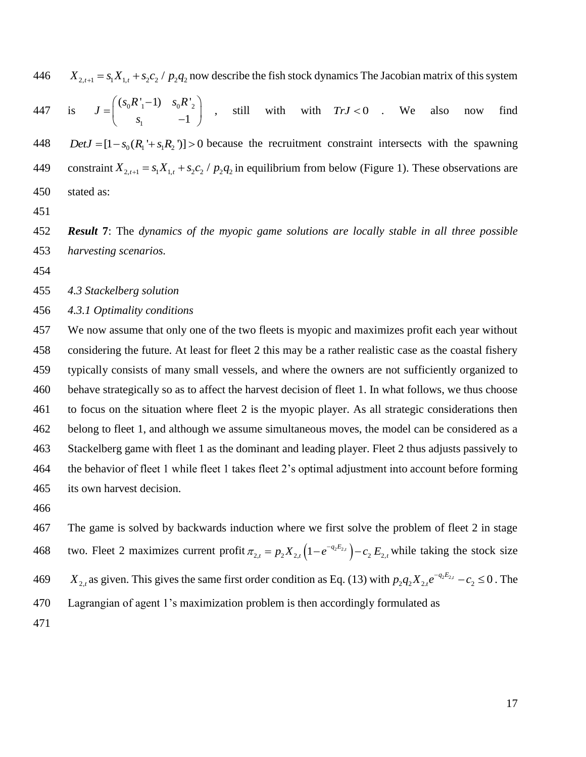$X_{2,t+1} = s_1 X_{1,t} + s_2 c_2 / p_2 q_2$  now describe the fish stock dynamics The Jacobian matrix of this system 

is  $J = \begin{bmatrix} (s_0 K_1 - 1) & s_0 K_2 \end{bmatrix}$   $(s_0 R'_1 - 1)$   $s_0 R'$   $J = \begin{pmatrix} (s_0 R'_1 - 1) & s_0 R'_2 \end{pmatrix}$ *s*  $((s_0R'_1-1) s_0R'_2)$ 447 is  $J = \begin{pmatrix} (s_0 K_1 - 1) & s_0 K_2 \\ s_1 & -1 \end{pmatrix}$ , still with  $TrJ < 0$ . We also now find  $DetJ = [1 - s_0 (R_1' + s_1 R_2')] > 0$  because the recruitment constraint intersects with the spawning 

constraint  $X_{2,t+1} = s_1 X_{1,t} + s_2 c_2 / p_2 q_2$  in equilibrium from below (Figure 1). These observations are stated as:

 *Result* **7**: The *dynamics of the myopic game solutions are locally stable in all three possible harvesting scenarios.* 

*4.3 Stackelberg solution* 

*4.3.1 Optimality conditions*

 We now assume that only one of the two fleets is myopic and maximizes profit each year without considering the future. At least for fleet 2 this may be a rather realistic case as the coastal fishery typically consists of many small vessels, and where the owners are not sufficiently organized to behave strategically so as to affect the harvest decision of fleet 1. In what follows, we thus choose to focus on the situation where fleet 2 is the myopic player. As all strategic considerations then belong to fleet 1, and although we assume simultaneous moves, the model can be considered as a Stackelberg game with fleet 1 as the dominant and leading player. Fleet 2 thus adjusts passively to the behavior of fleet 1 while fleet 1 takes fleet 2's optimal adjustment into account before forming its own harvest decision.

 The game is solved by backwards induction where we first solve the problem of fleet 2 in stage two. Fleet 2 maximizes current profit  $\pi_{2,t} = p_2 X_{2,t} \left(1 - e^{-q_2 E_{2,t}}\right) - c_2 E_{2,t}$  while taking the stock size  $X_{2,t}$  as given. This gives the same first order condition as Eq. (13) with  $p_2 q_2 X_{2,t} e^{-q_2 E_{2,t}} - c_2 \le 0$  $p_2 q_2 X_{2,t} e^{-q_2 E_{2,t}} - c_2 \le 0$ . The Lagrangian of agent 1's maximization problem is then accordingly formulated as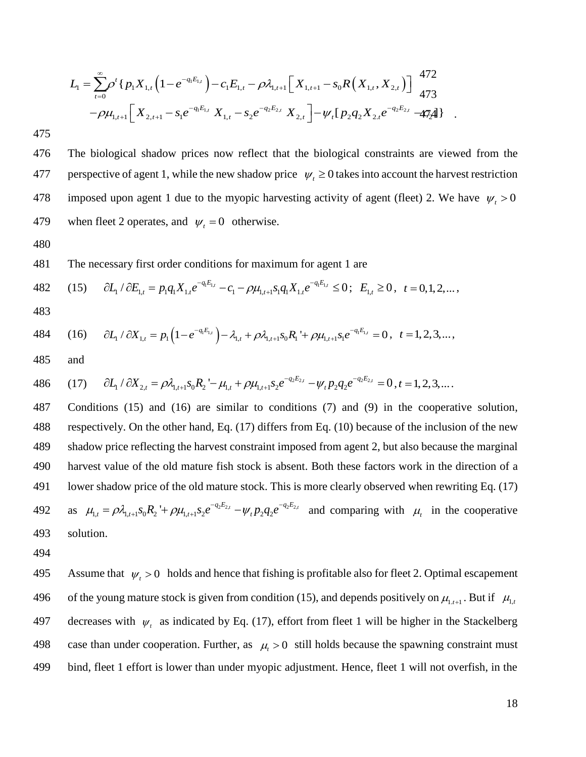$$
L_{1} = \sum_{t=0}^{\infty} \rho^{t} \{p_{1}X_{1,t} \left(1 - e^{-q_{1}E_{1,t}}\right) - c_{1}E_{1,t} - \rho \lambda_{1,t+1} \left[X_{1,t+1} - s_{0}R\left(X_{1,t}, X_{2,t}\right)\right] \frac{472}{473} - \rho \mu_{1,t+1} \left[X_{2,t+1} - s_{1}e^{-q_{1}E_{1,t}} X_{1,t} - s_{2}e^{-q_{2}E_{2,t}} X_{2,t}\right] - \psi_{t} \left[p_{2}q_{2}X_{2,t}e^{-q_{2}E_{2,t}} - 4\sigma_{2}\frac{1}{4}\right] .
$$

476 The biological shadow prices now reflect that the biological constraints are viewed from the 477 perspective of agent 1, while the new shadow price  $\psi_t \ge 0$  takes into account the harvest restriction 478 imposed upon agent 1 due to the myopic harvesting activity of agent (fleet) 2. We have  $\psi_t > 0$ 479 when fleet 2 operates, and  $\psi_t = 0$  otherwise.

480

481 The necessary first order conditions for maximum for agent 1 are  
\n482 (15) 
$$
\partial L_1 / \partial E_{1,t} = p_1 q_1 X_{1,t} e^{-q_1 E_{1,t}} - c_1 - \rho \mu_{1,t+1} s_1 q_1 X_{1,t} e^{-q_1 E_{1,t}} \le 0
$$
;  $E_{1,t} \ge 0$ ,  $t = 0,1,2,...$ 

483

483  
\n
$$
(16) \quad \partial L_1 / \partial X_{1,t} = p_1 \left( 1 - e^{-q_1 E_{1,t}} \right) - \lambda_{1,t} + \rho \lambda_{1,t+1} s_0 R_1 + \rho \mu_{1,t+1} s_1 e^{-q_1 E_{1,t}} = 0, \quad t = 1, 2, 3, \dots,
$$

485 and

485 and  
486 (17) 
$$
\partial L_1 / \partial X_{2,t} = \rho \lambda_{1,t+1} s_0 R_2' - \mu_{1,t} + \rho \mu_{1,t+1} s_2 e^{-q_2 E_{2,t}} - \psi_t p_2 q_2 e^{-q_2 E_{2,t}} = 0, t = 1, 2, 3, ...
$$

 Conditions (15) and (16) are similar to conditions (7) and (9) in the cooperative solution, respectively. On the other hand, Eq. (17) differs from Eq. (10) because of the inclusion of the new shadow price reflecting the harvest constraint imposed from agent 2, but also because the marginal harvest value of the old mature fish stock is absent. Both these factors work in the direction of a lower shadow price of the old mature stock. This is more clearly observed when rewriting Eq. (17) as  $\mu_{1,t} = \rho \lambda_{1,t+1} s_0 R_2 + \rho \mu_{1,t+1} s_2 e^{-q_2 E_{2,t}} - \psi_t p_2 q_2 e^{-q_2 E_{2,t}}$  $t = \rho \lambda_{1,t}$ 491 Iower shadow price of the old mature stock. This is more clearly observed when rewriting Eq. (17)<br>492 as  $\mu_{1,t} = \rho \lambda_{1,t+1} s_0 R_2 + \rho \mu_{1,t+1} s_2 e^{-q_2 E_{2,t}} - \psi_t p_2 q_2 e^{-q_2 E_{2,t}}$  and comparing with  $\mu_t$  in the cooperativ solution.

494

495 Assume that  $\psi_t > 0$  holds and hence that fishing is profitable also for fleet 2. Optimal escapement of the young mature stock is given from condition (15), and depends positively on  $\mu_{1,t+1}$ . But if  $\mu_{1,t}$ 496 497 decreases with  $\psi_t$  as indicated by Eq. (17), effort from fleet 1 will be higher in the Stackelberg case than under cooperation. Further, as  $\mu_t > 0$  still holds because the spawning constraint must 498 499 bind, fleet 1 effort is lower than under myopic adjustment. Hence, fleet 1 will not overfish, in the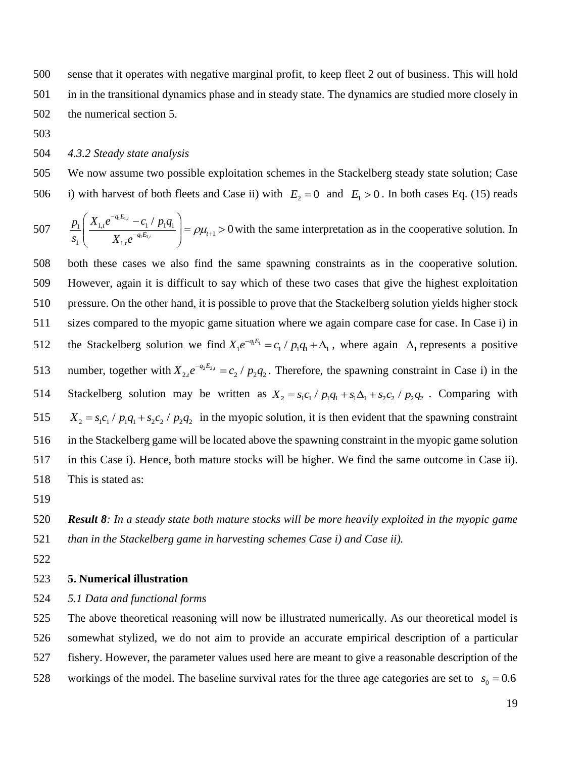500 sense that it operates with negative marginal profit, to keep fleet 2 out of business. This will hold 501 in in the transitional dynamics phase and in steady state. The dynamics are studied more closely in 502 the numerical section 5.

503

## 504 *4.3.2 Steady state analysis*

505 We now assume two possible exploitation schemes in the Stackelberg steady state solution; Case 506 i) with harvest of both fleets and Case ii) with  $E_2 = 0$  and  $E_1 > 0$ . In both cases Eq. (15) reads

507 
$$
\frac{p_1}{s_1} \left( \frac{X_{1,t}e^{-q_1 E_{1,t}} - c_1 / p_1 q_1}{X_{1,t}e^{-q_1 E_{1,t}}} \right) = \rho \mu_{t+1} > 0
$$
 with the same interpretation as in the cooperative solution. In

508 both these cases we also find the same spawning constraints as in the cooperative solution. 509 However, again it is difficult to say which of these two cases that give the highest exploitation 510 pressure. On the other hand, it is possible to prove that the Stackelberg solution yields higher stock 511 sizes compared to the myopic game situation where we again compare case for case. In Case i) in 512 the Stackelberg solution we find  $X_1e^{-q_1E_1} = c_1/p_1q_1 + \Delta_1$ , where again  $\Delta_1$  represents a positive number, together with  $X_{2,t}e^{-q_2E_{2,t}} = c_2 / p_2q_2$ . Therefore, the spawning constraint in Case i) in the 513 Stackelberg solution may be written as  $X_2 = s_1 c_1 / p_1 q_1 + s_1 \Delta_1 + s_2 c_2 / p_2 q_2$ . Comparing with 514  $X_2 = s_1 c_1 / p_1 q_1 + s_2 c_2 / p_2 q_2$  in the myopic solution, it is then evident that the spawning constraint 515 516 in the Stackelberg game will be located above the spawning constraint in the myopic game solution 517 in this Case i). Hence, both mature stocks will be higher. We find the same outcome in Case ii). 518 This is stated as:

519

520 *Result 8: In a steady state both mature stocks will be more heavily exploited in the myopic game*  521 *than in the Stackelberg game in harvesting schemes Case i) and Case ii).*

522

### 523 **5. Numerical illustration**

#### 524 *5.1 Data and functional forms*

525 The above theoretical reasoning will now be illustrated numerically. As our theoretical model is 526 somewhat stylized, we do not aim to provide an accurate empirical description of a particular 527 fishery. However, the parameter values used here are meant to give a reasonable description of the workings of the model. The baseline survival rates for the three age categories are set to  $s_0 = 0.6$ 528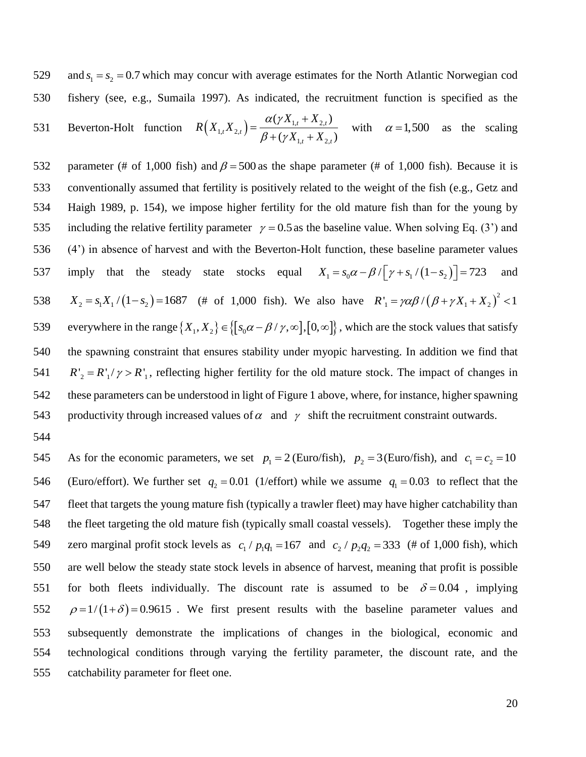and  $s_1 = s_2 = 0.7$  which may concur with average estimates for the North Atlantic Norwegian cod 529 530 fishery (see, e.g., Sumaila 1997). As indicated, the recruitment function is specified as the  $\alpha (\gamma X^{\dag}_{1,t} + X^{\dag}_{2,t})$ 

531 Beverton-Holt function 
$$
R(X_{1,t}X_{2,t}) = \frac{\alpha(\gamma X_{1,t} + X_{2,t})}{\beta + (\gamma X_{1,t} + X_{2,t})}
$$
 with  $\alpha = 1,500$  as the scaling

532 parameter (# of 1,000 fish) and  $\beta$  = 500 as the shape parameter (# of 1,000 fish). Because it is 533 conventionally assumed that fertility is positively related to the weight of the fish (e.g., Getz and 534 Haigh 1989, p. 154), we impose higher fertility for the old mature fish than for the young by 535 including the relative fertility parameter  $\gamma = 0.5$  as the baseline value. When solving Eq. (3') and 536 (4') in absence of harvest and with the Beverton-Holt function, these baseline parameter values 537 imply that the steady state stocks equal  $X_1 = s_0 \alpha - \beta / [\gamma + s_1 / (1 - s_2)] = 723$  and  $X_2 = s_1 X_1 / (1 - s_2) = 1687$  (# of 1,000 fish). We also have  $R'_1 = \gamma \alpha \beta / (\beta + \gamma X_1 + X_2)^2 < 1$ 538 539 everywhere in the range  $\{X_1, X_2\} \in \{ [s_0\alpha - \beta/\gamma, \infty], [0, \infty] \}$ , which are the stock values that satisfy 540 the spawning constraint that ensures stability under myopic harvesting. In addition we find that  $R'_2 = R'_1 / \gamma > R'_1$ , reflecting higher fertility for the old mature stock. The impact of changes in 541 542 these parameters can be understood in light of Figure 1 above, where, for instance, higher spawning 543 productivity through increased values of  $\alpha$  and  $\gamma$  shift the recruitment constraint outwards.

544

As for the economic parameters, we set  $p_1 = 2$  (Euro/fish),  $p_2 = 3$  (Euro/fish), and  $c_1 = c_2 = 10$ 545 (Euro/effort). We further set  $q_2 = 0.01$  (1/effort) while we assume  $q_1 = 0.03$  to reflect that the 546 547 fleet that targets the young mature fish (typically a trawler fleet) may have higher catchability than 548 the fleet targeting the old mature fish (typically small coastal vessels). Together these imply the zero marginal profit stock levels as  $c_1 / p_1 q_1 = 167$  and  $c_2 / p_2 q_2 = 333$  (# of 1,000 fish), which 549 550 are well below the steady state stock levels in absence of harvest, meaning that profit is possible 551 for both fleets individually. The discount rate is assumed to be  $\delta = 0.04$ , implying 552  $\rho = 1/(1+\delta) = 0.9615$ . We first present results with the baseline parameter values and 553 subsequently demonstrate the implications of changes in the biological, economic and 554 technological conditions through varying the fertility parameter, the discount rate, and the 555 catchability parameter for fleet one.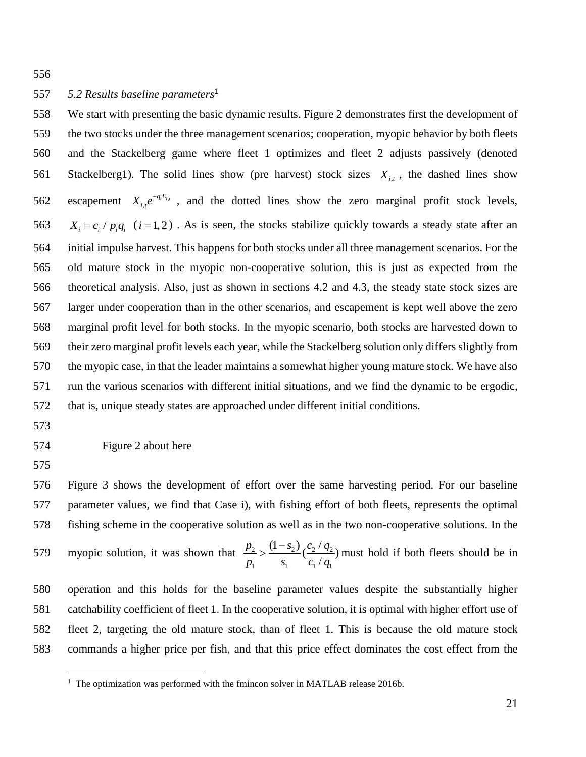# *5.2 Results baseline parameters*<sup>1</sup>

 We start with presenting the basic dynamic results. Figure 2 demonstrates first the development of the two stocks under the three management scenarios; cooperation, myopic behavior by both fleets and the Stackelberg game where fleet 1 optimizes and fleet 2 adjusts passively (denoted 561 Stackelberg1). The solid lines show (pre harvest) stock sizes  $X_{i,t}$ , the dashed lines show 562 escapement  $X_{i,t}e^{-q_iE_{i,t}}$ , and the dotted lines show the zero marginal profit stock levels,  $X_i = c_i / p_i q_i$  (*i* = 1,2). As is seen, the stocks stabilize quickly towards a steady state after an initial impulse harvest. This happens for both stocks under all three management scenarios. For the old mature stock in the myopic non-cooperative solution, this is just as expected from the theoretical analysis. Also, just as shown in sections 4.2 and 4.3, the steady state stock sizes are larger under cooperation than in the other scenarios, and escapement is kept well above the zero marginal profit level for both stocks. In the myopic scenario, both stocks are harvested down to their zero marginal profit levels each year, while the Stackelberg solution only differs slightly from the myopic case, in that the leader maintains a somewhat higher young mature stock. We have also run the various scenarios with different initial situations, and we find the dynamic to be ergodic, that is, unique steady states are approached under different initial conditions.

## Figure 2 about here

 $\overline{a}$ 

 Figure 3 shows the development of effort over the same harvesting period. For our baseline parameter values, we find that Case i), with fishing effort of both fleets, represents the optimal fishing scheme in the cooperative solution as well as in the two non-cooperative solutions. In the

myopic solution, it was shown that  $\frac{p_2}{r_1} > \frac{(1-s_2)}{(1-s_2)} \frac{c_2}{q_2}$  $S_1$   $S_1$   $C_1$   $q_1$  $\frac{(1 - s_2)}{(c_2 / q_2)}$ /  $p_2$  (1-s<sub>2</sub>)  $c_2$  / q  $\frac{p_1}{p_1} > \frac{c_1}{q_1}$  $\Rightarrow \frac{(1-s_2)}{(s_2-s_1)} \frac{(c_2/s_1)}{(s_2-s_2)}$  must hold if both fleets should be in 

 operation and this holds for the baseline parameter values despite the substantially higher catchability coefficient of fleet 1. In the cooperative solution, it is optimal with higher effort use of fleet 2, targeting the old mature stock, than of fleet 1. This is because the old mature stock commands a higher price per fish, and that this price effect dominates the cost effect from the

The optimization was performed with the fmincon solver in MATLAB release 2016b.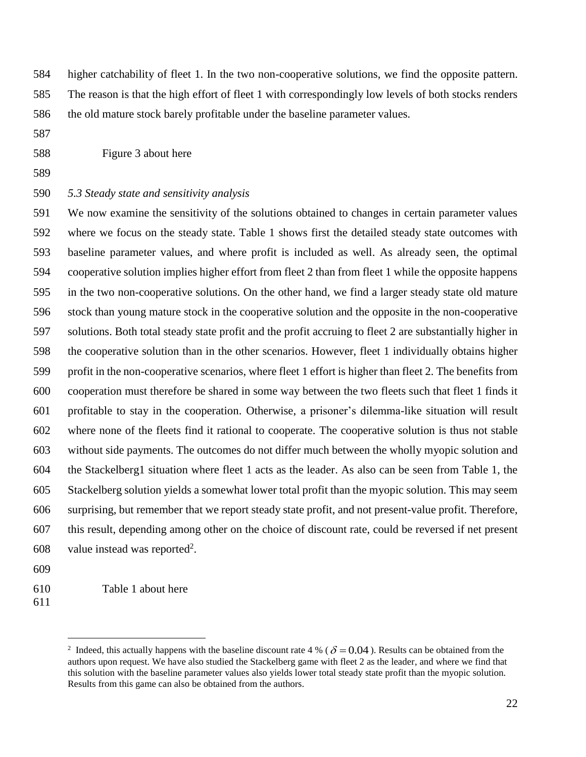higher catchability of fleet 1. In the two non-cooperative solutions, we find the opposite pattern. The reason is that the high effort of fleet 1 with correspondingly low levels of both stocks renders the old mature stock barely profitable under the baseline parameter values.

Figure 3 about here

*5.3 Steady state and sensitivity analysis*

 We now examine the sensitivity of the solutions obtained to changes in certain parameter values where we focus on the steady state. Table 1 shows first the detailed steady state outcomes with baseline parameter values, and where profit is included as well. As already seen, the optimal cooperative solution implies higher effort from fleet 2 than from fleet 1 while the opposite happens in the two non-cooperative solutions. On the other hand, we find a larger steady state old mature stock than young mature stock in the cooperative solution and the opposite in the non-cooperative solutions. Both total steady state profit and the profit accruing to fleet 2 are substantially higher in the cooperative solution than in the other scenarios. However, fleet 1 individually obtains higher profit in the non-cooperative scenarios, where fleet 1 effort is higher than fleet 2. The benefits from cooperation must therefore be shared in some way between the two fleets such that fleet 1 finds it profitable to stay in the cooperation. Otherwise, a prisoner's dilemma-like situation will result where none of the fleets find it rational to cooperate. The cooperative solution is thus not stable without side payments. The outcomes do not differ much between the wholly myopic solution and the Stackelberg1 situation where fleet 1 acts as the leader. As also can be seen from Table 1, the Stackelberg solution yields a somewhat lower total profit than the myopic solution. This may seem surprising, but remember that we report steady state profit, and not present-value profit. Therefore, this result, depending among other on the choice of discount rate, could be reversed if net present 608 value instead was reported<sup>2</sup>.

Table 1 about here

 $\overline{a}$ 

<sup>&</sup>lt;sup>2</sup> Indeed, this actually happens with the baseline discount rate 4 % ( $\delta$  = 0.04). Results can be obtained from the authors upon request. We have also studied the Stackelberg game with fleet 2 as the leader, and where we find that this solution with the baseline parameter values also yields lower total steady state profit than the myopic solution. Results from this game can also be obtained from the authors.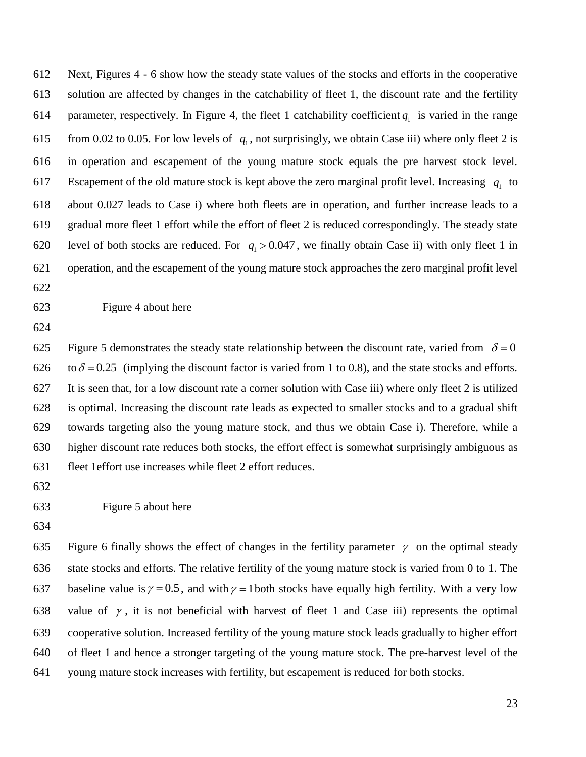Next, Figures 4 - 6 show how the steady state values of the stocks and efforts in the cooperative solution are affected by changes in the catchability of fleet 1, the discount rate and the fertility parameter, respectively. In Figure 4, the fleet 1 catchability coefficient  $q_1$  is varied in the range from 0.02 to 0.05. For low levels of  $q_1$ , not surprisingly, we obtain Case iii) where only fleet 2 is in operation and escapement of the young mature stock equals the pre harvest stock level. Escapement of the old mature stock is kept above the zero marginal profit level. Increasing  $q_1$  to about 0.027 leads to Case i) where both fleets are in operation, and further increase leads to a gradual more fleet 1 effort while the effort of fleet 2 is reduced correspondingly. The steady state 620 level of both stocks are reduced. For  $q_1 > 0.047$ , we finally obtain Case ii) with only fleet 1 in operation, and the escapement of the young mature stock approaches the zero marginal profit level

Figure 4 about here

625 Figure 5 demonstrates the steady state relationship between the discount rate, varied from  $\delta = 0$  $\delta$  = 0.25 (implying the discount factor is varied from 1 to 0.8), and the state stocks and efforts. It is seen that, for a low discount rate a corner solution with Case iii) where only fleet 2 is utilized is optimal. Increasing the discount rate leads as expected to smaller stocks and to a gradual shift towards targeting also the young mature stock, and thus we obtain Case i). Therefore, while a higher discount rate reduces both stocks, the effort effect is somewhat surprisingly ambiguous as fleet 1effort use increases while fleet 2 effort reduces.

- 
- Figure 5 about here
- 

635 Figure 6 finally shows the effect of changes in the fertility parameter  $\gamma$  on the optimal steady state stocks and efforts. The relative fertility of the young mature stock is varied from 0 to 1. The 637 baseline value is  $\gamma = 0.5$ , and with  $\gamma = 1$  both stocks have equally high fertility. With a very low 638 value of  $\gamma$ , it is not beneficial with harvest of fleet 1 and Case iii) represents the optimal cooperative solution. Increased fertility of the young mature stock leads gradually to higher effort of fleet 1 and hence a stronger targeting of the young mature stock. The pre-harvest level of the young mature stock increases with fertility, but escapement is reduced for both stocks.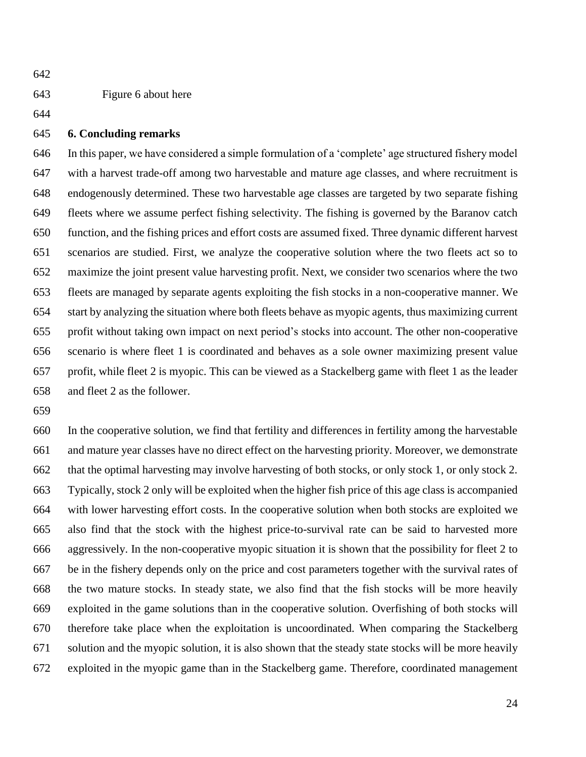- Figure 6 about here
- 

#### **6. Concluding remarks**

 In this paper, we have considered a simple formulation of a 'complete' age structured fishery model with a harvest trade-off among two harvestable and mature age classes, and where recruitment is endogenously determined. These two harvestable age classes are targeted by two separate fishing fleets where we assume perfect fishing selectivity. The fishing is governed by the Baranov catch function, and the fishing prices and effort costs are assumed fixed. Three dynamic different harvest scenarios are studied. First, we analyze the cooperative solution where the two fleets act so to maximize the joint present value harvesting profit. Next, we consider two scenarios where the two fleets are managed by separate agents exploiting the fish stocks in a non-cooperative manner. We start by analyzing the situation where both fleets behave as myopic agents, thus maximizing current profit without taking own impact on next period's stocks into account. The other non-cooperative scenario is where fleet 1 is coordinated and behaves as a sole owner maximizing present value profit, while fleet 2 is myopic. This can be viewed as a Stackelberg game with fleet 1 as the leader and fleet 2 as the follower.

 In the cooperative solution, we find that fertility and differences in fertility among the harvestable and mature year classes have no direct effect on the harvesting priority. Moreover, we demonstrate that the optimal harvesting may involve harvesting of both stocks, or only stock 1, or only stock 2. Typically, stock 2 only will be exploited when the higher fish price of this age class is accompanied with lower harvesting effort costs. In the cooperative solution when both stocks are exploited we also find that the stock with the highest price-to-survival rate can be said to harvested more aggressively. In the non-cooperative myopic situation it is shown that the possibility for fleet 2 to be in the fishery depends only on the price and cost parameters together with the survival rates of the two mature stocks. In steady state, we also find that the fish stocks will be more heavily exploited in the game solutions than in the cooperative solution. Overfishing of both stocks will therefore take place when the exploitation is uncoordinated. When comparing the Stackelberg solution and the myopic solution, it is also shown that the steady state stocks will be more heavily exploited in the myopic game than in the Stackelberg game. Therefore, coordinated management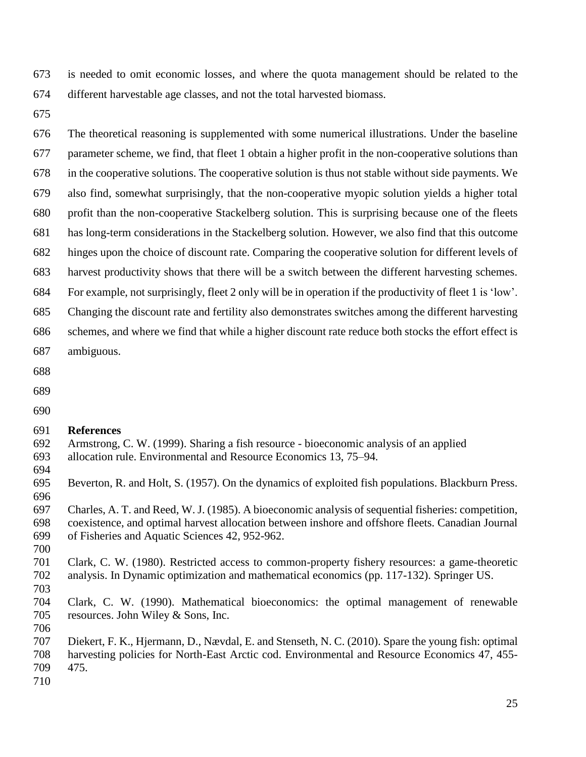is needed to omit economic losses, and where the quota management should be related to the different harvestable age classes, and not the total harvested biomass.

 The theoretical reasoning is supplemented with some numerical illustrations. Under the baseline parameter scheme, we find, that fleet 1 obtain a higher profit in the non-cooperative solutions than in the cooperative solutions. The cooperative solution is thus not stable without side payments. We also find, somewhat surprisingly, that the non-cooperative myopic solution yields a higher total profit than the non-cooperative Stackelberg solution. This is surprising because one of the fleets has long-term considerations in the Stackelberg solution. However, we also find that this outcome hinges upon the choice of discount rate. Comparing the cooperative solution for different levels of harvest productivity shows that there will be a switch between the different harvesting schemes. For example, not surprisingly, fleet 2 only will be in operation if the productivity of fleet 1 is 'low'. Changing the discount rate and fertility also demonstrates switches among the different harvesting schemes, and where we find that while a higher discount rate reduce both stocks the effort effect is ambiguous. 

- 
- 

## **References**

- Armstrong, C. W. (1999). Sharing a fish resource bioeconomic analysis of an applied
- allocation rule. Environmental and Resource Economics 13, 75–94*.*
- Beverton, R. and Holt, S. (1957). On the dynamics of exploited fish populations. Blackburn Press.
- Charles, A. T. and Reed, W. J. (1985). A bioeconomic analysis of sequential fisheries: competition, coexistence, and optimal harvest allocation between inshore and offshore fleets. Canadian Journal of Fisheries and Aquatic Sciences 42, 952-962.
- 
- Clark, C. W. (1980). Restricted access to common-property fishery resources: a game-theoretic analysis. In Dynamic optimization and mathematical economics (pp. 117-132). Springer US.
- Clark, C. W. (1990). Mathematical bioeconomics: the optimal management of renewable resources. John Wiley & Sons, Inc.
	- Diekert, F. K., Hjermann, D., Nævdal, E. and Stenseth, N. C. (2010). Spare the young fish: optimal harvesting policies for North-East Arctic cod. Environmental and Resource Economics 47, 455- 475.
	-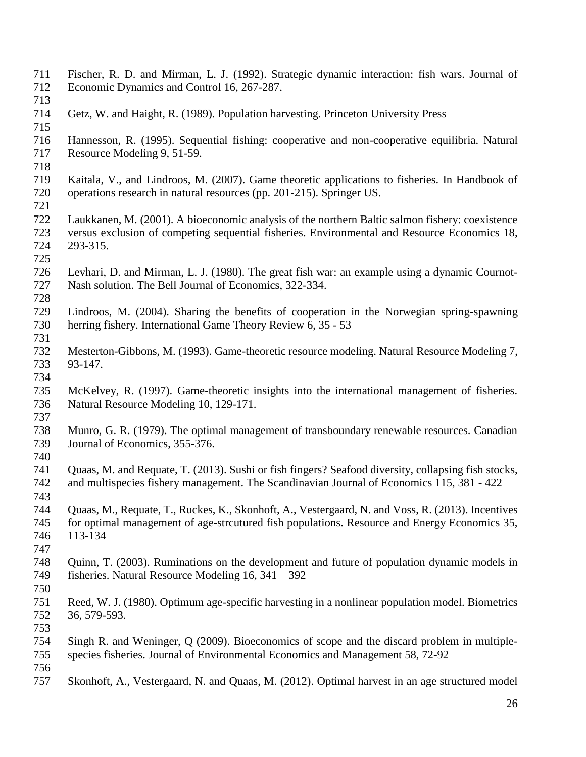Fischer, R. D. and Mirman, L. J. (1992). Strategic dynamic interaction: fish wars. Journal of Economic Dynamics and Control 16, 267-287. Getz, W. and Haight, R. (1989). Population harvesting. Princeton University Press Hannesson, R. (1995). Sequential fishing: cooperative and non-cooperative equilibria. Natural Resource Modeling 9, 51-59. Kaitala, V., and Lindroos, M. (2007). Game theoretic applications to fisheries. In Handbook of operations research in natural resources (pp. 201-215). Springer US. Laukkanen, M. (2001). A bioeconomic analysis of the northern Baltic salmon fishery: coexistence versus exclusion of competing sequential fisheries. Environmental and Resource Economics 18, 293-315. Levhari, D. and Mirman, L. J. (1980). The great fish war: an example using a dynamic Cournot- Nash solution. The Bell Journal of Economics, 322-334. Lindroos, M. (2004). Sharing the benefits of cooperation in the Norwegian spring-spawning herring fishery. International Game Theory Review 6, 35 - 53 Mesterton-Gibbons, M. (1993). Game-theoretic resource modeling. Natural Resource Modeling 7, 93-147. McKelvey, R. (1997). Game-theoretic insights into the international management of fisheries. Natural Resource Modeling 10, 129-171. Munro, G. R. (1979). The optimal management of transboundary renewable resources. Canadian Journal of Economics, 355-376. Quaas, M. and Requate, T. (2013). Sushi or fish fingers? Seafood diversity, collapsing fish stocks, and multispecies fishery management. The Scandinavian Journal of Economics 115, 381 - 422 Quaas, M., Requate, T., Ruckes, K., Skonhoft, A., Vestergaard, N. and Voss, R. (2013). Incentives for optimal management of age-strcutured fish populations. Resource and Energy Economics 35, 113-134 Quinn, T. (2003). Ruminations on the development and future of population dynamic models in fisheries. Natural Resource Modeling 16, 341 – 392 Reed, W. J. (1980). Optimum age-specific harvesting in a nonlinear population model. Biometrics 36, 579-593. Singh R. and Weninger, Q (2009). Bioeconomics of scope and the discard problem in multiple- species fisheries. Journal of Environmental Economics and Management 58, 72-92 Skonhoft, A., Vestergaard, N. and Quaas, M. (2012). Optimal harvest in an age structured model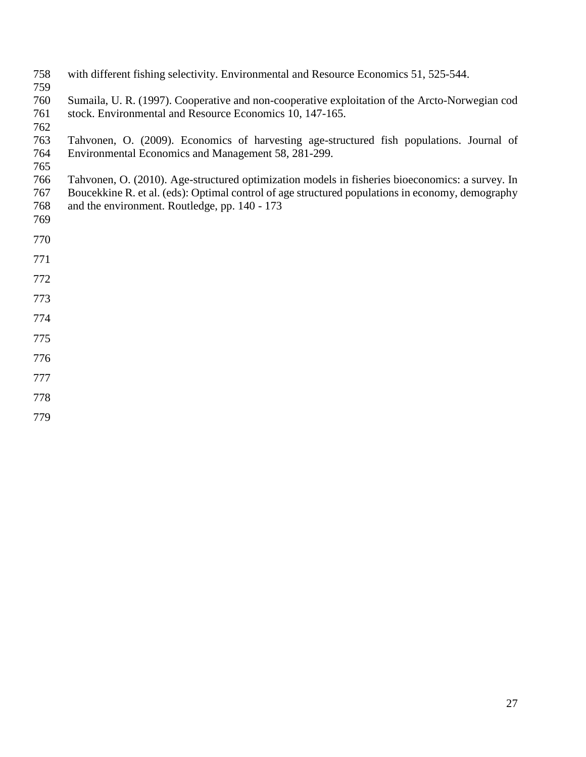with different fishing selectivity. Environmental and Resource Economics 51, 525-544.

- Sumaila, U. R. (1997). Cooperative and non-cooperative exploitation of the Arcto-Norwegian cod stock. Environmental and Resource Economics 10, 147-165.
- 
- Tahvonen, O. (2009). Economics of harvesting age-structured fish populations. Journal of Environmental Economics and Management 58, 281-299.
- 
- Tahvonen, O. (2010). Age-structured optimization models in fisheries bioeconomics: a survey. In Boucekkine R. et al. (eds): Optimal control of age structured populations in economy, demography and the environment. Routledge, pp. 140 - 173
- 
- 
- 
- 
- 
- 
- 
- 
- 
- 
- 
- 
-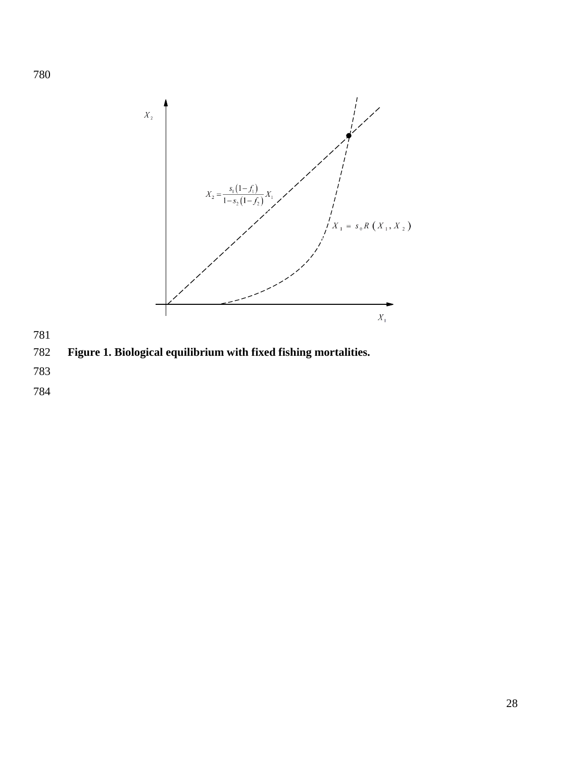



**Figure 1. Biological equilibrium with fixed fishing mortalities.**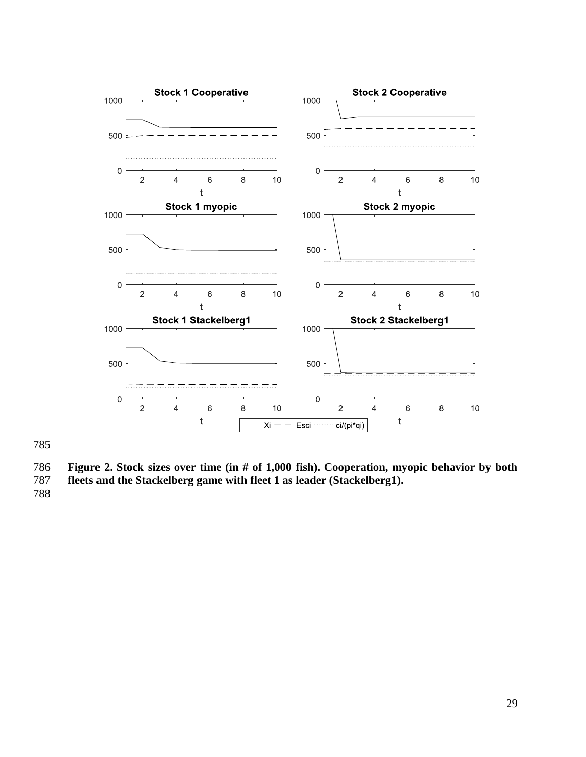

 **Figure 2. Stock sizes over time (in # of 1,000 fish). Cooperation, myopic behavior by both fleets and the Stackelberg game with fleet 1 as leader (Stackelberg1).**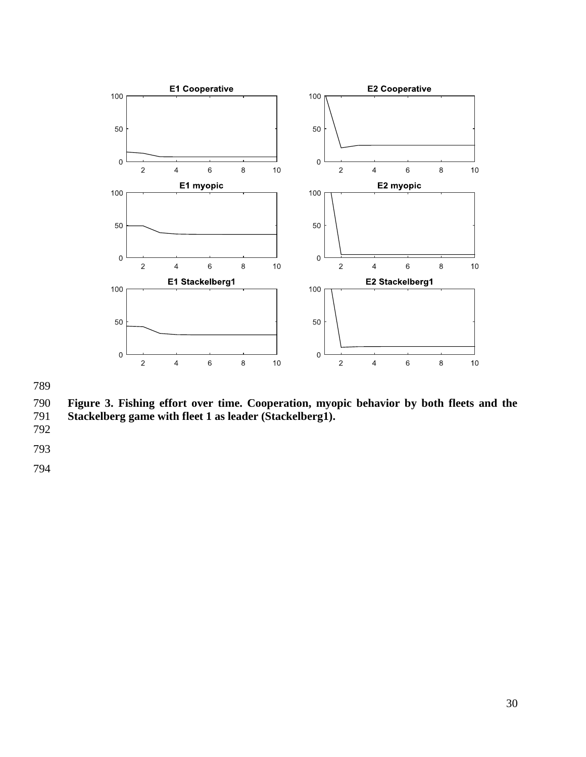

 **Figure 3. Fishing effort over time. Cooperation, myopic behavior by both fleets and the Stackelberg game with fleet 1 as leader (Stackelberg1).**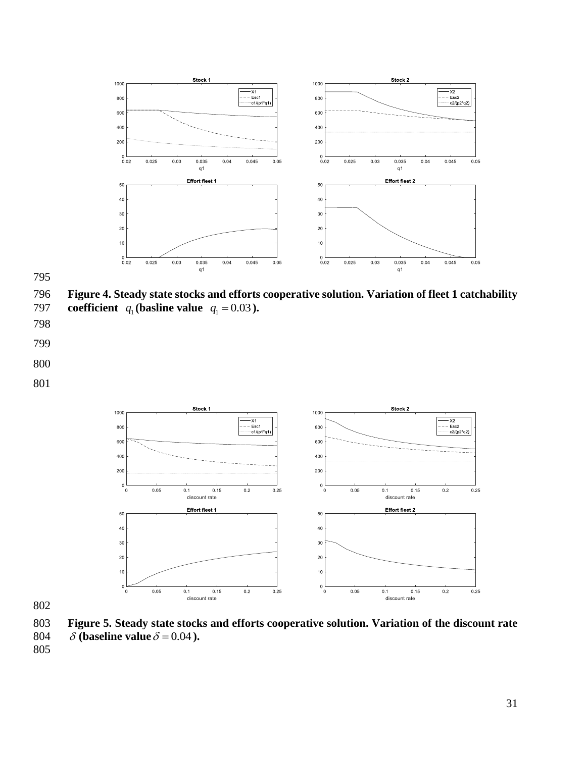



 **Figure 4. Steady state stocks and efforts cooperative solution. Variation of fleet 1 catchability coefficient**  $q_1$  (basline value  $q_1 = 0.03$ ). 







 **Figure 5. Steady state stocks and efforts cooperative solution. Variation of the discount rate**   $\delta$  (baseline value  $\delta$  = 0.04).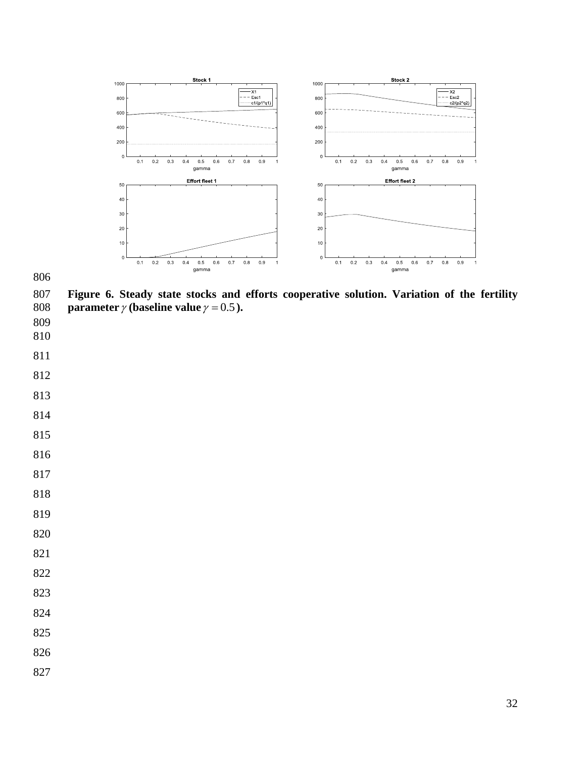



807 **Figure 6. Steady state stocks and efforts cooperative solution. Variation of the fertility parameter**  $\gamma$  **(baseline value**  $\gamma = 0.5$ **).** 808 **parameter**  $\gamma$  (baseline value  $\gamma = 0.5$ ).

- 
- 
- 
- 
- 
- 
- 
- 
- 
- 
- 
- 
- 
- 
- 
- 

- 
- 
-